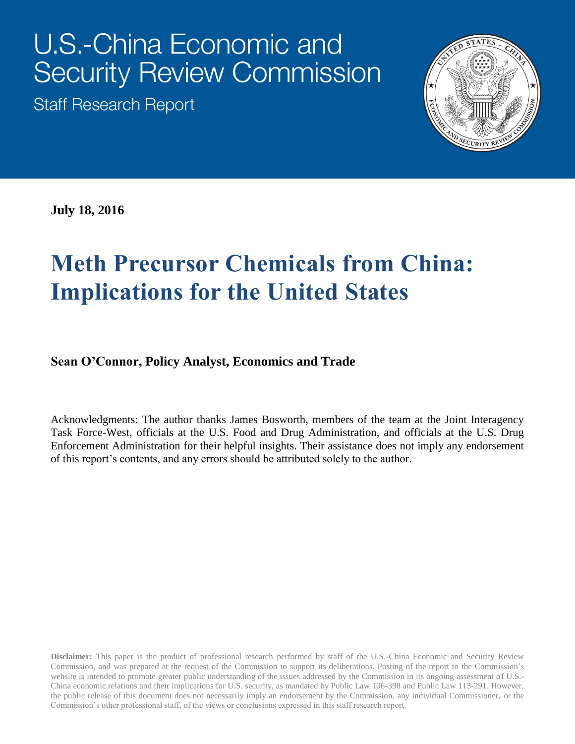# **U.S.-China Economic and Security Review Commission**

**Staff Research Report** 



**July 18, 2016**

# **Meth Precursor Chemicals from China: Implications for the United States**

#### **Sean O'Connor, Policy Analyst, Economics and Trade**

Acknowledgments: The author thanks James Bosworth, members of the team at the Joint Interagency Task Force-West, officials at the U.S. Food and Drug Administration, and officials at the U.S. Drug Enforcement Administration for their helpful insights. Their assistance does not imply any endorsement of this report's contents, and any errors should be attributed solely to the author.

**Disclaimer:** This paper is the product of professional research performed by staff of the U.S.-China Economic and Security Review Commission, and was prepared at the request of the Commission to support its deliberations. Posting of the report to the Commission's website is intended to promote greater public understanding of the issues addressed by the Commission in its ongoing assessment of U.S.- China economic relations and their implications for U.S. security, as mandated by Public Law 106-398 and Public Law 113-291. However, the public release of this document does not necessarily imply an endorsement by the Commission, any individual Commissioner, or the Commission's other professional staff, of the views or conclusions expressed in this staff research report.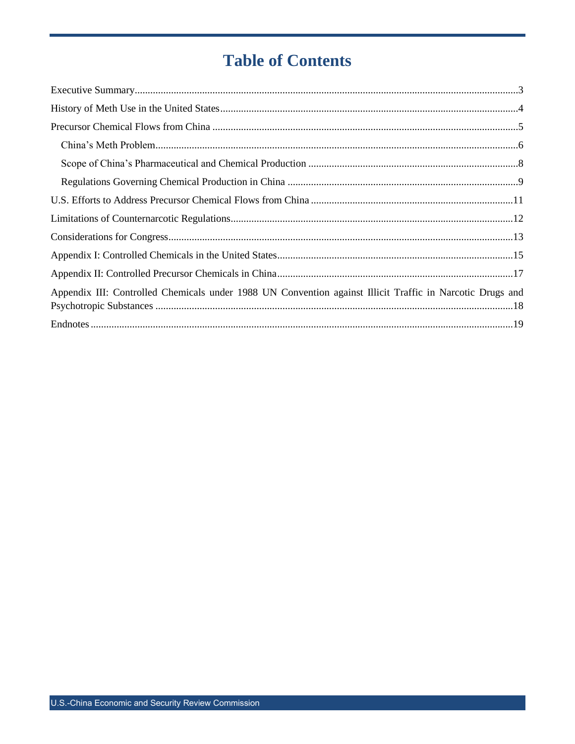# **Table of Contents**

| Appendix III: Controlled Chemicals under 1988 UN Convention against Illicit Traffic in Narcotic Drugs and |
|-----------------------------------------------------------------------------------------------------------|
|                                                                                                           |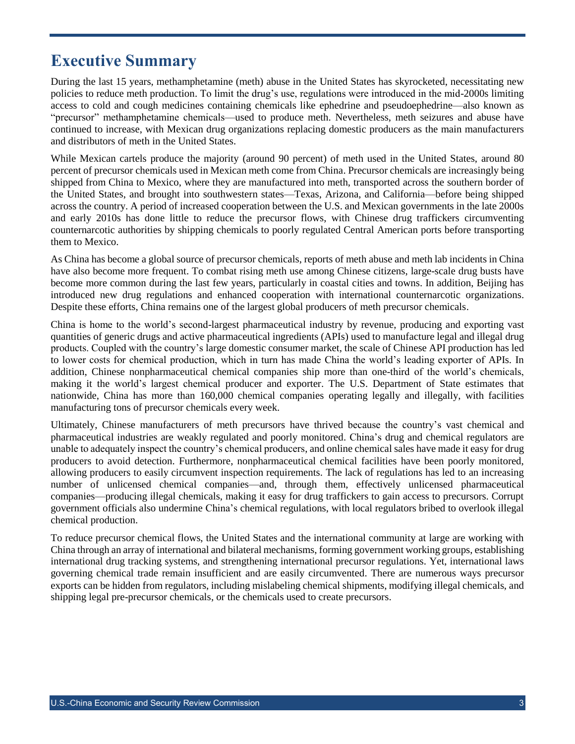#### <span id="page-2-0"></span>**Executive Summary**

During the last 15 years, methamphetamine (meth) abuse in the United States has skyrocketed, necessitating new policies to reduce meth production. To limit the drug's use, regulations were introduced in the mid-2000s limiting access to cold and cough medicines containing chemicals like ephedrine and pseudoephedrine—also known as "precursor" methamphetamine chemicals—used to produce meth. Nevertheless, meth seizures and abuse have continued to increase, with Mexican drug organizations replacing domestic producers as the main manufacturers and distributors of meth in the United States.

While Mexican cartels produce the majority (around 90 percent) of meth used in the United States, around 80 percent of precursor chemicals used in Mexican meth come from China. Precursor chemicals are increasingly being shipped from China to Mexico, where they are manufactured into meth, transported across the southern border of the United States, and brought into southwestern states—Texas, Arizona, and California—before being shipped across the country. A period of increased cooperation between the U.S. and Mexican governments in the late 2000s and early 2010s has done little to reduce the precursor flows, with Chinese drug traffickers circumventing counternarcotic authorities by shipping chemicals to poorly regulated Central American ports before transporting them to Mexico.

As China has become a global source of precursor chemicals, reports of meth abuse and meth lab incidents in China have also become more frequent. To combat rising meth use among Chinese citizens, large-scale drug busts have become more common during the last few years, particularly in coastal cities and towns. In addition, Beijing has introduced new drug regulations and enhanced cooperation with international counternarcotic organizations. Despite these efforts, China remains one of the largest global producers of meth precursor chemicals.

China is home to the world's second-largest pharmaceutical industry by revenue, producing and exporting vast quantities of generic drugs and active pharmaceutical ingredients (APIs) used to manufacture legal and illegal drug products. Coupled with the country's large domestic consumer market, the scale of Chinese API production has led to lower costs for chemical production, which in turn has made China the world's leading exporter of APIs. In addition, Chinese nonpharmaceutical chemical companies ship more than one-third of the world's chemicals, making it the world's largest chemical producer and exporter. The U.S. Department of State estimates that nationwide, China has more than 160,000 chemical companies operating legally and illegally, with facilities manufacturing tons of precursor chemicals every week.

Ultimately, Chinese manufacturers of meth precursors have thrived because the country's vast chemical and pharmaceutical industries are weakly regulated and poorly monitored. China's drug and chemical regulators are unable to adequately inspect the country's chemical producers, and online chemical sales have made it easy for drug producers to avoid detection. Furthermore, nonpharmaceutical chemical facilities have been poorly monitored, allowing producers to easily circumvent inspection requirements. The lack of regulations has led to an increasing number of unlicensed chemical companies—and, through them, effectively unlicensed pharmaceutical companies—producing illegal chemicals, making it easy for drug traffickers to gain access to precursors. Corrupt government officials also undermine China's chemical regulations, with local regulators bribed to overlook illegal chemical production.

To reduce precursor chemical flows, the United States and the international community at large are working with China through an array of international and bilateral mechanisms, forming government working groups, establishing international drug tracking systems, and strengthening international precursor regulations. Yet, international laws governing chemical trade remain insufficient and are easily circumvented. There are numerous ways precursor exports can be hidden from regulators, including mislabeling chemical shipments, modifying illegal chemicals, and shipping legal pre-precursor chemicals, or the chemicals used to create precursors.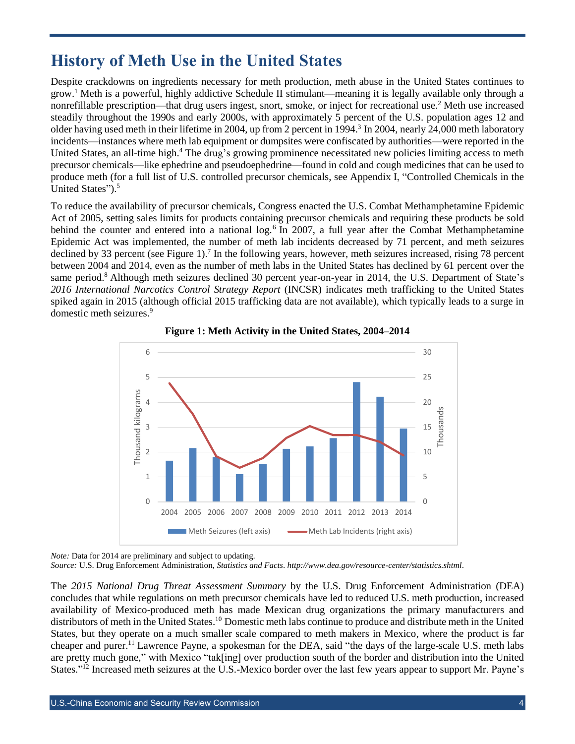#### <span id="page-3-0"></span>**History of Meth Use in the United States**

Despite crackdowns on ingredients necessary for meth production, meth abuse in the United States continues to grow. <sup>1</sup> Meth is a powerful, highly addictive Schedule II stimulant—meaning it is legally available only through a nonrefillable prescription—that drug users ingest, snort, smoke, or inject for recreational use. <sup>2</sup> Meth use increased steadily throughout the 1990s and early 2000s, with approximately 5 percent of the U.S. population ages 12 and older having used meth in their lifetime in 2004, up from 2 percent in 1994. 3 In 2004, nearly 24,000 meth laboratory incidents—instances where meth lab equipment or dumpsites were confiscated by authorities—were reported in the United States, an all-time high.<sup>4</sup> The drug's growing prominence necessitated new policies limiting access to meth precursor chemicals—like ephedrine and pseudoephedrine—found in cold and cough medicines that can be used to produce meth (for a full list of U.S. controlled precursor chemicals, see Appendix I, "Controlled Chemicals in the United States"). 5

To reduce the availability of precursor chemicals, Congress enacted the U.S. Combat Methamphetamine Epidemic Act of 2005, setting sales limits for products containing precursor chemicals and requiring these products be sold behind the counter and entered into a national log.<sup>6</sup> In 2007, a full year after the Combat Methamphetamine Epidemic Act was implemented, the number of meth lab incidents decreased by 71 percent, and meth seizures declined by 33 percent (see Figure 1).<sup>7</sup> In the following years, however, meth seizures increased, rising 78 percent between 2004 and 2014, even as the number of meth labs in the United States has declined by 61 percent over the same period.<sup>8</sup> Although meth seizures declined 30 percent year-on-year in 2014, the U.S. Department of State's *2016 International Narcotics Control Strategy Report* (INCSR) indicates meth trafficking to the United States spiked again in 2015 (although official 2015 trafficking data are not available), which typically leads to a surge in domestic meth seizures. 9





*Note:* Data for 2014 are preliminary and subject to updating.

*Source:* U.S. Drug Enforcement Administration, *Statistics and Facts*. *<http://www.dea.gov/resource-center/statistics.shtml>*.

The *2015 National Drug Threat Assessment Summary* by the U.S. Drug Enforcement Administration (DEA) concludes that while regulations on meth precursor chemicals have led to reduced U.S. meth production, increased availability of Mexico-produced meth has made Mexican drug organizations the primary manufacturers and distributors of meth in the United States.<sup>10</sup> Domestic meth labs continue to produce and distribute meth in the United States, but they operate on a much smaller scale compared to meth makers in Mexico, where the product is far cheaper and purer.<sup>11</sup> Lawrence Payne, a spokesman for the DEA, said "the days of the large-scale U.S. meth labs are pretty much gone," with Mexico "tak[ing] over production south of the border and distribution into the United States."<sup>12</sup> Increased meth seizures at the U.S.-Mexico border over the last few years appear to support Mr. Payne's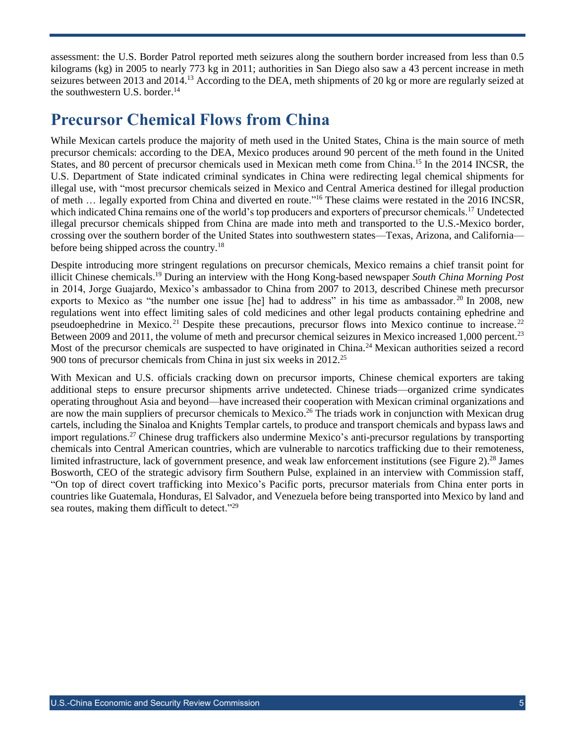assessment: the U.S. Border Patrol reported meth seizures along the southern border increased from less than 0.5 kilograms (kg) in 2005 to nearly 773 kg in 2011; authorities in San Diego also saw a 43 percent increase in meth seizures between 2013 and 2014.<sup>13</sup> According to the DEA, meth shipments of 20 kg or more are regularly seized at the southwestern U.S. border. 14

#### <span id="page-4-0"></span>**Precursor Chemical Flows from China**

While Mexican cartels produce the majority of meth used in the United States, China is the main source of meth precursor chemicals: according to the DEA, Mexico produces around 90 percent of the meth found in the United States, and 80 percent of precursor chemicals used in Mexican meth come from China.<sup>15</sup> In the 2014 INCSR, the U.S. Department of State indicated criminal syndicates in China were redirecting legal chemical shipments for illegal use, with "most precursor chemicals seized in Mexico and Central America destined for illegal production of meth … legally exported from China and diverted en route."<sup>16</sup> These claims were restated in the 2016 INCSR, which indicated China remains one of the world's top producers and exporters of precursor chemicals.<sup>17</sup> Undetected illegal precursor chemicals shipped from China are made into meth and transported to the U.S.-Mexico border, crossing over the southern border of the United States into southwestern states—Texas, Arizona, and California before being shipped across the country.<sup>18</sup>

Despite introducing more stringent regulations on precursor chemicals, Mexico remains a chief transit point for illicit Chinese chemicals. <sup>19</sup> During an interview with the Hong Kong-based newspaper *South China Morning Post*  in 2014, Jorge Guajardo, Mexico's ambassador to China from 2007 to 2013, described Chinese meth precursor exports to Mexico as "the number one issue [he] had to address" in his time as ambassador.<sup>20</sup> In 2008, new regulations went into effect limiting sales of cold medicines and other legal products containing ephedrine and pseudoephedrine in Mexico.<sup>21</sup> Despite these precautions, precursor flows into Mexico continue to increase.<sup>22</sup> Between 2009 and 2011, the volume of meth and precursor chemical seizures in Mexico increased 1,000 percent.<sup>23</sup> Most of the precursor chemicals are suspected to have originated in China.<sup>24</sup> Mexican authorities seized a record 900 tons of precursor chemicals from China in just six weeks in 2012.<sup>25</sup>

With Mexican and U.S. officials cracking down on precursor imports, Chinese chemical exporters are taking additional steps to ensure precursor shipments arrive undetected. Chinese triads—organized crime syndicates operating throughout Asia and beyond—have increased their cooperation with Mexican criminal organizations and are now the main suppliers of precursor chemicals to Mexico.<sup>26</sup> The triads work in conjunction with Mexican drug cartels, including the Sinaloa and Knights Templar cartels, to produce and transport chemicals and bypass laws and import regulations.<sup>27</sup> Chinese drug traffickers also undermine Mexico's anti-precursor regulations by transporting chemicals into Central American countries, which are vulnerable to narcotics trafficking due to their remoteness, limited infrastructure, lack of government presence, and weak law enforcement institutions (see Figure 2).<sup>28</sup> James Bosworth, CEO of the strategic advisory firm Southern Pulse, explained in an interview with Commission staff, "On top of direct covert trafficking into Mexico's Pacific ports, precursor materials from China enter ports in countries like Guatemala, Honduras, El Salvador, and Venezuela before being transported into Mexico by land and sea routes, making them difficult to detect."29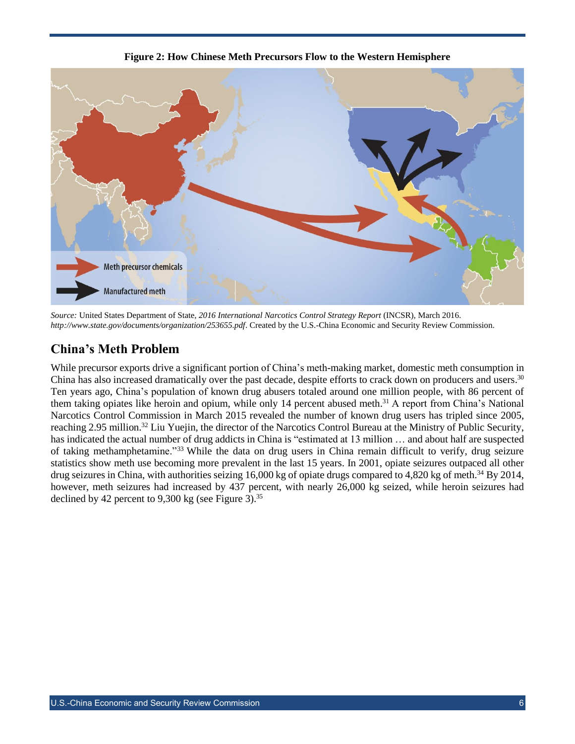

**Figure 2: How Chinese Meth Precursors Flow to the Western Hemisphere**

*Source:* United States Department of State, *2016 International Narcotics Control Strategy Report* (INCSR), March 2016. *<http://www.state.gov/documents/organization/253655.pdf>*. Created by the U.S.-China Economic and Security Review Commission.

#### <span id="page-5-0"></span>**China's Meth Problem**

While precursor exports drive a significant portion of China's meth-making market, domestic meth consumption in China has also increased dramatically over the past decade, despite efforts to crack down on producers and users.<sup>30</sup> Ten years ago, China's population of known drug abusers totaled around one million people, with 86 percent of them taking opiates like heroin and opium, while only 14 percent abused meth.<sup>31</sup> A report from China's National Narcotics Control Commission in March 2015 revealed the number of known drug users has tripled since 2005, reaching 2.95 million.<sup>32</sup> Liu Yuejin, the director of the Narcotics Control Bureau at the Ministry of Public Security, has indicated the actual number of drug addicts in China is "estimated at 13 million ... and about half are suspected of taking methamphetamine."<sup>33</sup> While the data on drug users in China remain difficult to verify, drug seizure statistics show meth use becoming more prevalent in the last 15 years. In 2001, opiate seizures outpaced all other drug seizures in China, with authorities seizing 16,000 kg of opiate drugs compared to 4,820 kg of meth.<sup>34</sup> By 2014, however, meth seizures had increased by 437 percent, with nearly 26,000 kg seized, while heroin seizures had declined by 42 percent to 9,300 kg (see Figure 3).<sup>35</sup>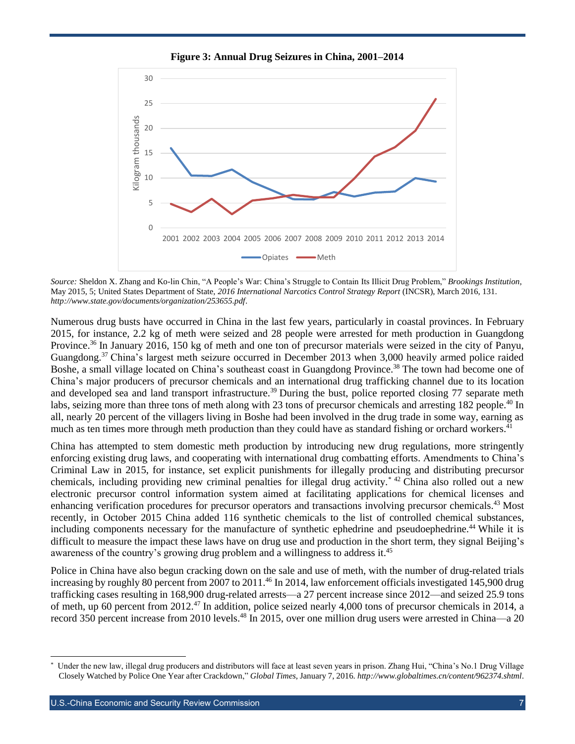

**Figure 3: Annual Drug Seizures in China, 2001–2014**

*Source:* Sheldon X. Zhang and Ko-lin Chin, "A People's War: China's Struggle to Contain Its Illicit Drug Problem," *Brookings Institution*, May 2015, 5; United States Department of State, *2016 International Narcotics Control Strategy Report* (INCSR), March 2016, 131. *<http://www.state.gov/documents/organization/253655.pdf>*.

Numerous drug busts have occurred in China in the last few years, particularly in coastal provinces. In February 2015, for instance, 2.2 kg of meth were seized and 28 people were arrested for meth production in Guangdong Province.<sup>36</sup> In January 2016, 150 kg of meth and one ton of precursor materials were seized in the city of Panyu, Guangdong.<sup>37</sup> China's largest meth seizure occurred in December 2013 when 3,000 heavily armed police raided Boshe, a small village located on China's southeast coast in Guangdong Province.<sup>38</sup> The town had become one of China's major producers of precursor chemicals and an international drug trafficking channel due to its location and developed sea and land transport infrastructure.<sup>39</sup> During the bust, police reported closing 77 separate meth labs, seizing more than three tons of meth along with 23 tons of precursor chemicals and arresting 182 people.<sup>40</sup> In all, nearly 20 percent of the villagers living in Boshe had been involved in the drug trade in some way, earning as much as ten times more through meth production than they could have as standard fishing or orchard workers.<sup>41</sup>

China has attempted to stem domestic meth production by introducing new drug regulations, more stringently enforcing existing drug laws, and cooperating with international drug combatting efforts. Amendments to China's Criminal Law in 2015, for instance, set explicit punishments for illegally producing and distributing precursor chemicals, including providing new criminal penalties for illegal drug activity.\* <sup>42</sup> China also rolled out a new electronic precursor control information system aimed at facilitating applications for chemical licenses and enhancing verification procedures for precursor operators and transactions involving precursor chemicals.<sup>43</sup> Most recently, in October 2015 China added 116 synthetic chemicals to the list of controlled chemical substances, including components necessary for the manufacture of synthetic ephedrine and pseudoephedrine. <sup>44</sup> While it is difficult to measure the impact these laws have on drug use and production in the short term, they signal Beijing's awareness of the country's growing drug problem and a willingness to address it.<sup>45</sup>

Police in China have also begun cracking down on the sale and use of meth, with the number of drug-related trials increasing by roughly 80 percent from 2007 to 2011. <sup>46</sup> In 2014, law enforcement officials investigated 145,900 drug trafficking cases resulting in 168,900 drug-related arrests—a 27 percent increase since 2012—and seized 25.9 tons of meth, up 60 percent from 2012.<sup>47</sup> In addition, police seized nearly 4,000 tons of precursor chemicals in 2014, a record 350 percent increase from 2010 levels. <sup>48</sup> In 2015, over one million drug users were arrested in China—a 20

<sup>\*</sup> Under the new law, illegal drug producers and distributors will face at least seven years in prison. Zhang Hui, "China's No.1 Drug Village Closely Watched by Police One Year after Crackdown," *Global Times*, January 7, 2016. *<http://www.globaltimes.cn/content/962374.shtml>*.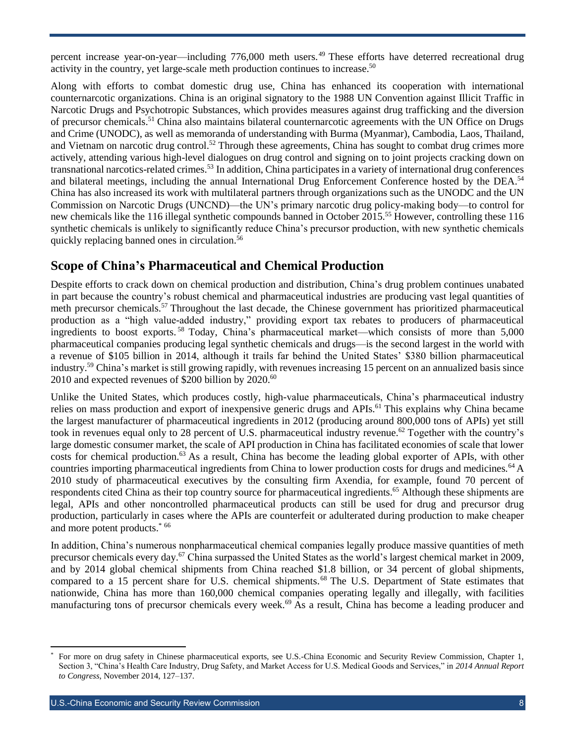percent increase year-on-year—including 776,000 meth users.<sup>49</sup> These efforts have deterred recreational drug activity in the country, yet large-scale meth production continues to increase.<sup>50</sup>

Along with efforts to combat domestic drug use, China has enhanced its cooperation with international counternarcotic organizations. China is an original signatory to the 1988 UN Convention against Illicit Traffic in Narcotic Drugs and Psychotropic Substances, which provides measures against drug trafficking and the diversion of precursor chemicals.<sup>51</sup> China also maintains bilateral counternarcotic agreements with the UN Office on Drugs and Crime (UNODC), as well as memoranda of understanding with Burma (Myanmar), Cambodia, Laos, Thailand, and Vietnam on narcotic drug control.<sup>52</sup> Through these agreements, China has sought to combat drug crimes more actively, attending various high-level dialogues on drug control and signing on to joint projects cracking down on transnational narcotics-related crimes.<sup>53</sup> In addition, China participates in a variety of international drug conferences and bilateral meetings, including the annual International Drug Enforcement Conference hosted by the DEA.<sup>54</sup> China has also increased its work with multilateral partners through organizations such as the UNODC and the UN Commission on Narcotic Drugs (UNCND)—the UN's primary narcotic drug policy-making body—to control for new chemicals like the 116 illegal synthetic compounds banned in October 2015.<sup>55</sup> However, controlling these 116 synthetic chemicals is unlikely to significantly reduce China's precursor production, with new synthetic chemicals quickly replacing banned ones in circulation.<sup>56</sup>

#### <span id="page-7-0"></span>**Scope of China's Pharmaceutical and Chemical Production**

Despite efforts to crack down on chemical production and distribution, China's drug problem continues unabated in part because the country's robust chemical and pharmaceutical industries are producing vast legal quantities of meth precursor chemicals.<sup>57</sup> Throughout the last decade, the Chinese government has prioritized pharmaceutical production as a "high value-added industry," providing export tax rebates to producers of pharmaceutical ingredients to boost exports. <sup>58</sup> Today, China's pharmaceutical market—which consists of more than 5,000 pharmaceutical companies producing legal synthetic chemicals and drugs—is the second largest in the world with a revenue of \$105 billion in 2014, although it trails far behind the United States' \$380 billion pharmaceutical industry. <sup>59</sup> China's market is still growing rapidly, with revenues increasing 15 percent on an annualized basis since 2010 and expected revenues of \$200 billion by 2020.<sup>60</sup>

Unlike the United States, which produces costly, high-value pharmaceuticals, China's pharmaceutical industry relies on mass production and export of inexpensive generic drugs and APIs.<sup>61</sup> This explains why China became the largest manufacturer of pharmaceutical ingredients in 2012 (producing around 800,000 tons of APIs) yet still took in revenues equal only to 28 percent of U.S. pharmaceutical industry revenue.<sup>62</sup> Together with the country's large domestic consumer market, the scale of API production in China has facilitated economies of scale that lower costs for chemical production.<sup>63</sup> As a result, China has become the leading global exporter of APIs, with other countries importing pharmaceutical ingredients from China to lower production costs for drugs and medicines.<sup>64</sup> A 2010 study of pharmaceutical executives by the consulting firm Axendia, for example, found 70 percent of respondents cited China as their top country source for pharmaceutical ingredients.<sup>65</sup> Although these shipments are legal, APIs and other noncontrolled pharmaceutical products can still be used for drug and precursor drug production, particularly in cases where the APIs are counterfeit or adulterated during production to make cheaper and more potent products. \* 66

In addition, China's numerous nonpharmaceutical chemical companies legally produce massive quantities of meth precursor chemicals every day.<sup>67</sup> China surpassed the United States as the world's largest chemical market in 2009, and by 2014 global chemical shipments from China reached \$1.8 billion, or 34 percent of global shipments, compared to a 15 percent share for U.S. chemical shipments.<sup>68</sup> The U.S. Department of State estimates that nationwide, China has more than 160,000 chemical companies operating legally and illegally, with facilities manufacturing tons of precursor chemicals every week. <sup>69</sup> As a result, China has become a leading producer and

l

<sup>\*</sup> For more on drug safety in Chinese pharmaceutical exports, see U.S.-China Economic and Security Review Commission, Chapter 1, Section 3, "China's Health Care Industry, Drug Safety, and Market Access for U.S. Medical Goods and Services," in *2014 Annual Report to Congress*, November 2014, 127–137.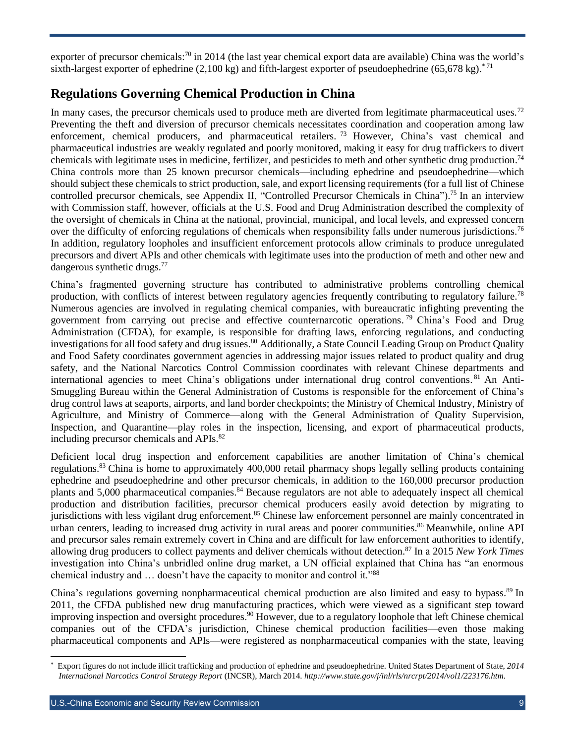exporter of precursor chemicals:<sup>70</sup> in 2014 (the last year chemical export data are available) China was the world's sixth-largest exporter of ephedrine (2,100 kg) and fifth-largest exporter of pseudoephedrine (65,678 kg).<sup>\*71</sup>

#### <span id="page-8-0"></span>**Regulations Governing Chemical Production in China**

In many cases, the precursor chemicals used to produce meth are diverted from legitimate pharmaceutical uses.<sup>72</sup> Preventing the theft and diversion of precursor chemicals necessitates coordination and cooperation among law enforcement, chemical producers, and pharmaceutical retailers.<sup>73</sup> However, China's vast chemical and pharmaceutical industries are weakly regulated and poorly monitored, making it easy for drug traffickers to divert chemicals with legitimate uses in medicine, fertilizer, and pesticides to meth and other synthetic drug production.<sup>74</sup> China controls more than 25 known precursor chemicals—including ephedrine and pseudoephedrine—which should subject these chemicals to strict production, sale, and export licensing requirements (for a full list of Chinese controlled precursor chemicals, see Appendix II, "Controlled Precursor Chemicals in China"). <sup>75</sup> In an interview with Commission staff, however, officials at the U.S. Food and Drug Administration described the complexity of the oversight of chemicals in China at the national, provincial, municipal, and local levels, and expressed concern over the difficulty of enforcing regulations of chemicals when responsibility falls under numerous jurisdictions.<sup>76</sup> In addition, regulatory loopholes and insufficient enforcement protocols allow criminals to produce unregulated precursors and divert APIs and other chemicals with legitimate uses into the production of meth and other new and dangerous synthetic drugs.<sup>77</sup>

China's fragmented governing structure has contributed to administrative problems controlling chemical production, with conflicts of interest between regulatory agencies frequently contributing to regulatory failure.<sup>78</sup> Numerous agencies are involved in regulating chemical companies, with bureaucratic infighting preventing the government from carrying out precise and effective counternarcotic operations. <sup>79</sup> China's Food and Drug Administration (CFDA), for example, is responsible for drafting laws, enforcing regulations, and conducting investigations for all food safety and drug issues.<sup>80</sup> Additionally, a State Council Leading Group on Product Quality and Food Safety coordinates government agencies in addressing major issues related to product quality and drug safety, and the National Narcotics Control Commission coordinates with relevant Chinese departments and international agencies to meet China's obligations under international drug control conventions.<sup>81</sup> An Anti-Smuggling Bureau within the General Administration of Customs is responsible for the enforcement of China's drug control laws at seaports, airports, and land border checkpoints; the Ministry of Chemical Industry, Ministry of Agriculture, and Ministry of Commerce—along with the General Administration of Quality Supervision, Inspection, and Quarantine—play roles in the inspection, licensing, and export of pharmaceutical products, including precursor chemicals and APIs. 82

Deficient local drug inspection and enforcement capabilities are another limitation of China's chemical regulations.<sup>83</sup> China is home to approximately 400,000 retail pharmacy shops legally selling products containing ephedrine and pseudoephedrine and other precursor chemicals, in addition to the 160,000 precursor production plants and 5,000 pharmaceutical companies.<sup>84</sup> Because regulators are not able to adequately inspect all chemical production and distribution facilities, precursor chemical producers easily avoid detection by migrating to jurisdictions with less vigilant drug enforcement.<sup>85</sup> Chinese law enforcement personnel are mainly concentrated in urban centers, leading to increased drug activity in rural areas and poorer communities.<sup>86</sup> Meanwhile, online API and precursor sales remain extremely covert in China and are difficult for law enforcement authorities to identify, allowing drug producers to collect payments and deliver chemicals without detection. <sup>87</sup> In a 2015 *New York Times* investigation into China's unbridled online drug market, a UN official explained that China has "an enormous chemical industry and … doesn't have the capacity to monitor and control it."<sup>88</sup>

China's regulations governing nonpharmaceutical chemical production are also limited and easy to bypass.<sup>89</sup> In 2011, the CFDA published new drug manufacturing practices, which were viewed as a significant step toward improving inspection and oversight procedures. <sup>90</sup> However, due to a regulatory loophole that left Chinese chemical companies out of the CFDA's jurisdiction, Chinese chemical production facilities—even those making pharmaceutical components and APIs—were registered as nonpharmaceutical companies with the state, leaving

<sup>\*</sup> Export figures do not include illicit trafficking and production of ephedrine and pseudoephedrine. United States Department of State, *2014 International Narcotics Control Strategy Report* (INCSR), March 2014. *[http://www.state.gov/j/inl/rls/nrcrpt/2014/vol1/223176.htm.](http://www.state.gov/j/inl/rls/nrcrpt/2014/vol1/223176.htm)*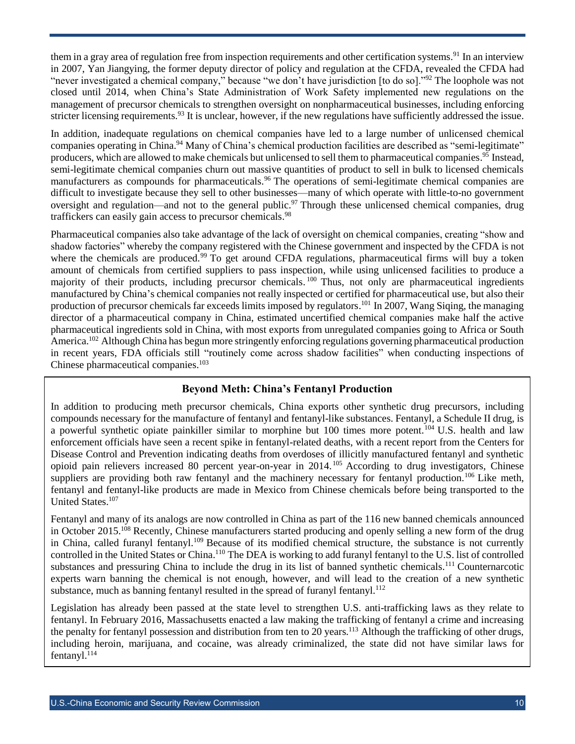them in a gray area of regulation free from inspection requirements and other certification systems.<sup>91</sup> In an interview in 2007, Yan Jiangying, the former deputy director of policy and regulation at the CFDA, revealed the CFDA had "never investigated a chemical company," because "we don't have jurisdiction [to do so]."<sup>92</sup> The loophole was not closed until 2014, when China's State Administration of Work Safety implemented new regulations on the management of precursor chemicals to strengthen oversight on nonpharmaceutical businesses, including enforcing stricter licensing requirements.<sup>93</sup> It is unclear, however, if the new regulations have sufficiently addressed the issue.

In addition, inadequate regulations on chemical companies have led to a large number of unlicensed chemical companies operating in China.<sup>94</sup> Many of China's chemical production facilities are described as "semi-legitimate" producers, which are allowed to make chemicals but unlicensed to sell them to pharmaceutical companies. <sup>95</sup> Instead, semi-legitimate chemical companies churn out massive quantities of product to sell in bulk to licensed chemicals manufacturers as compounds for pharmaceuticals.<sup>96</sup> The operations of semi-legitimate chemical companies are difficult to investigate because they sell to other businesses—many of which operate with little-to-no government oversight and regulation—and not to the general public.<sup>97</sup> Through these unlicensed chemical companies, drug traffickers can easily gain access to precursor chemicals.<sup>98</sup>

Pharmaceutical companies also take advantage of the lack of oversight on chemical companies, creating "show and shadow factories" whereby the company registered with the Chinese government and inspected by the CFDA is not where the chemicals are produced.<sup>99</sup> To get around CFDA regulations, pharmaceutical firms will buy a token amount of chemicals from certified suppliers to pass inspection, while using unlicensed facilities to produce a majority of their products, including precursor chemicals.<sup>100</sup> Thus, not only are pharmaceutical ingredients manufactured by China's chemical companies not really inspected or certified for pharmaceutical use, but also their production of precursor chemicals far exceeds limits imposed by regulators.<sup>101</sup> In 2007, Wang Siqing, the managing director of a pharmaceutical company in China, estimated uncertified chemical companies make half the active pharmaceutical ingredients sold in China, with most exports from unregulated companies going to Africa or South America.<sup>102</sup> Although China has begun more stringently enforcing regulations governing pharmaceutical production in recent years, FDA officials still "routinely come across shadow facilities" when conducting inspections of Chinese pharmaceutical companies. 103

#### **Beyond Meth: China's Fentanyl Production**

In addition to producing meth precursor chemicals, China exports other synthetic drug precursors, including compounds necessary for the manufacture of fentanyl and fentanyl-like substances. Fentanyl, a Schedule II drug, is a powerful synthetic opiate painkiller similar to morphine but 100 times more potent.<sup>104</sup> U.S. health and law enforcement officials have seen a recent spike in fentanyl-related deaths, with a recent report from the Centers for Disease Control and Prevention indicating deaths from overdoses of illicitly manufactured fentanyl and synthetic opioid pain relievers increased 80 percent year-on-year in 2014. <sup>105</sup> According to drug investigators, Chinese suppliers are providing both raw fentanyl and the machinery necessary for fentanyl production.<sup>106</sup> Like meth, fentanyl and fentanyl-like products are made in Mexico from Chinese chemicals before being transported to the United States.<sup>107</sup>

Fentanyl and many of its analogs are now controlled in China as part of the 116 new banned chemicals announced in October 2015.<sup>108</sup> Recently, Chinese manufacturers started producing and openly selling a new form of the drug in China, called furanyl fentanyl.<sup>109</sup> Because of its modified chemical structure, the substance is not currently controlled in the United States or China.<sup>110</sup> The DEA is working to add furanyl fentanyl to the U.S. list of controlled substances and pressuring China to include the drug in its list of banned synthetic chemicals.<sup>111</sup> Counternarcotic experts warn banning the chemical is not enough, however, and will lead to the creation of a new synthetic substance, much as banning fentanyl resulted in the spread of furanyl fentanyl.<sup>112</sup>

Legislation has already been passed at the state level to strengthen U.S. anti-trafficking laws as they relate to fentanyl. In February 2016, Massachusetts enacted a law making the trafficking of fentanyl a crime and increasing the penalty for fentanyl possession and distribution from ten to 20 years.<sup>113</sup> Although the trafficking of other drugs, including heroin, marijuana, and cocaine, was already criminalized, the state did not have similar laws for fentanyl.<sup>114</sup>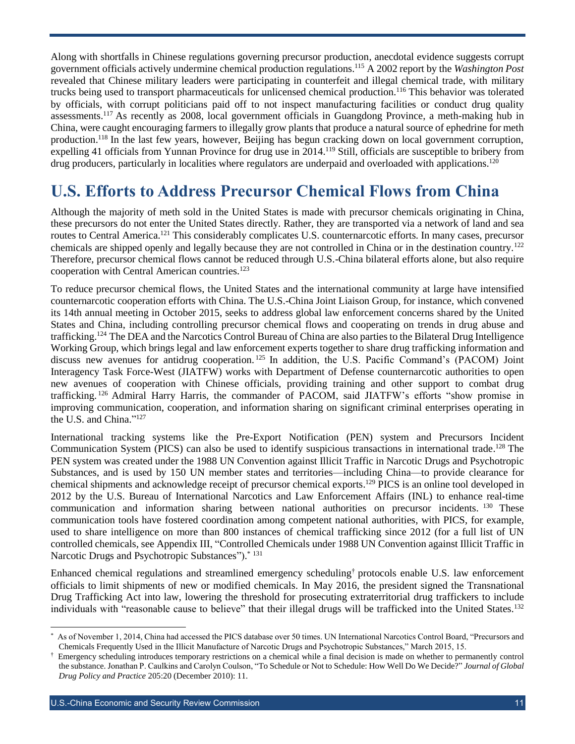Along with shortfalls in Chinese regulations governing precursor production, anecdotal evidence suggests corrupt government officials actively undermine chemical production regulations. <sup>115</sup> A 2002 report by the *Washington Post* revealed that Chinese military leaders were participating in counterfeit and illegal chemical trade, with military trucks being used to transport pharmaceuticals for unlicensed chemical production. <sup>116</sup> This behavior was tolerated by officials, with corrupt politicians paid off to not inspect manufacturing facilities or conduct drug quality assessments.<sup>117</sup> As recently as 2008, local government officials in Guangdong Province, a meth-making hub in China, were caught encouraging farmers to illegally grow plants that produce a natural source of ephedrine for meth production.<sup>118</sup> In the last few years, however, Beijing has begun cracking down on local government corruption, expelling 41 officials from Yunnan Province for drug use in 2014.<sup>119</sup> Still, officials are susceptible to bribery from drug producers, particularly in localities where regulators are underpaid and overloaded with applications.<sup>120</sup>

### <span id="page-10-0"></span>**U.S. Efforts to Address Precursor Chemical Flows from China**

Although the majority of meth sold in the United States is made with precursor chemicals originating in China, these precursors do not enter the United States directly. Rather, they are transported via a network of land and sea routes to Central America.<sup>121</sup> This considerably complicates U.S. counternarcotic efforts. In many cases, precursor chemicals are shipped openly and legally because they are not controlled in China or in the destination country.<sup>122</sup> Therefore, precursor chemical flows cannot be reduced through U.S.-China bilateral efforts alone, but also require cooperation with Central American countries.<sup>123</sup>

To reduce precursor chemical flows, the United States and the international community at large have intensified counternarcotic cooperation efforts with China. The U.S.-China Joint Liaison Group, for instance, which convened its 14th annual meeting in October 2015, seeks to address global law enforcement concerns shared by the United States and China, including controlling precursor chemical flows and cooperating on trends in drug abuse and trafficking.<sup>124</sup> The DEA and the Narcotics Control Bureau of China are also parties to the Bilateral Drug Intelligence Working Group, which brings legal and law enforcement experts together to share drug trafficking information and discuss new avenues for antidrug cooperation. <sup>125</sup> In addition, the U.S. Pacific Command's (PACOM) Joint Interagency Task Force-West (JIATFW) works with Department of Defense counternarcotic authorities to open new avenues of cooperation with Chinese officials, providing training and other support to combat drug trafficking. <sup>126</sup> Admiral Harry Harris, the commander of PACOM, said JIATFW's efforts "show promise in improving communication, cooperation, and information sharing on significant criminal enterprises operating in the U.S. and China."<sup>127</sup>

International tracking systems like the Pre-Export Notification (PEN) system and Precursors Incident Communication System (PICS) can also be used to identify suspicious transactions in international trade.<sup>128</sup> The PEN system was created under the 1988 UN Convention against Illicit Traffic in Narcotic Drugs and Psychotropic Substances, and is used by 150 UN member states and territories—including China—to provide clearance for chemical shipments and acknowledge receipt of precursor chemical exports.<sup>129</sup> PICS is an online tool developed in 2012 by the U.S. Bureau of International Narcotics and Law Enforcement Affairs (INL) to enhance real-time communication and information sharing between national authorities on precursor incidents. <sup>130</sup> These communication tools have fostered coordination among competent national authorities, with PICS, for example, used to share intelligence on more than 800 instances of chemical trafficking since 2012 (for a full list of UN controlled chemicals, see Appendix III, "Controlled Chemicals under 1988 UN Convention against Illicit Traffic in Narcotic Drugs and Psychotropic Substances").<sup>\* 131</sup>

Enhanced chemical regulations and streamlined emergency scheduling† protocols enable U.S. law enforcement officials to limit shipments of new or modified chemicals. In May 2016, the president signed the Transnational Drug Trafficking Act into law, lowering the threshold for prosecuting extraterritorial drug traffickers to include individuals with "reasonable cause to believe" that their illegal drugs will be trafficked into the United States.<sup>132</sup>

<sup>\*</sup> As of November 1, 2014, China had accessed the PICS database over 50 times. UN International Narcotics Control Board, "Precursors and Chemicals Frequently Used in the Illicit Manufacture of Narcotic Drugs and Psychotropic Substances," March 2015, 15.

<sup>†</sup> Emergency scheduling introduces temporary restrictions on a chemical while a final decision is made on whether to permanently control the substance. Jonathan P. Caulkins and Carolyn Coulson, "To Schedule or Not to Schedule: How Well Do We Decide?" *Journal of Global Drug Policy and Practice* 205:20 (December 2010): 11.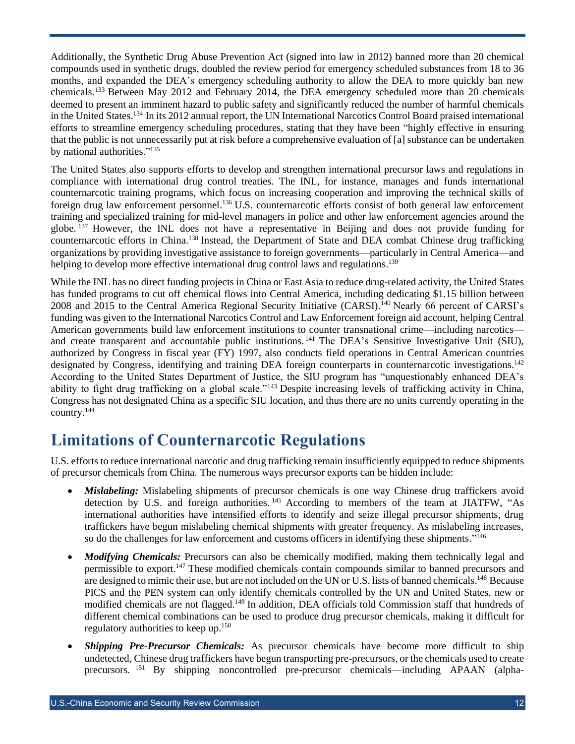Additionally, the Synthetic Drug Abuse Prevention Act (signed into law in 2012) banned more than 20 chemical compounds used in synthetic drugs, doubled the review period for emergency scheduled substances from 18 to 36 months, and expanded the DEA's emergency scheduling authority to allow the DEA to more quickly ban new chemicals. <sup>133</sup> Between May 2012 and February 2014, the DEA emergency scheduled more than 20 chemicals deemed to present an imminent hazard to public safety and significantly reduced the number of harmful chemicals in the United States.<sup>134</sup> In its 2012 annual report, the UN International Narcotics Control Board praised international efforts to streamline emergency scheduling procedures, stating that they have been "highly effective in ensuring that the public is not unnecessarily put at risk before a comprehensive evaluation of [a] substance can be undertaken by national authorities."<sup>135</sup>

The United States also supports efforts to develop and strengthen international precursor laws and regulations in compliance with international drug control treaties. The INL, for instance, manages and funds international counternarcotic training programs, which focus on increasing cooperation and improving the technical skills of foreign drug law enforcement personnel.<sup>136</sup> U.S. counternarcotic efforts consist of both general law enforcement training and specialized training for mid-level managers in police and other law enforcement agencies around the globe.<sup>137</sup> However, the INL does not have a representative in Beijing and does not provide funding for counternarcotic efforts in China.<sup>138</sup> Instead, the Department of State and DEA combat Chinese drug trafficking organizations by providing investigative assistance to foreign governments—particularly in Central America—and helping to develop more effective international drug control laws and regulations.<sup>139</sup>

While the INL has no direct funding projects in China or East Asia to reduce drug-related activity, the United States has funded programs to cut off chemical flows into Central America, including dedicating \$1.15 billion between 2008 and 2015 to the Central America Regional Security Initiative (CARSI).<sup>140</sup> Nearly 66 percent of CARSI's funding was given to the International Narcotics Control and Law Enforcement foreign aid account, helping Central American governments build law enforcement institutions to counter transnational crime—including narcotics and create transparent and accountable public institutions.<sup>141</sup> The DEA's Sensitive Investigative Unit (SIU), authorized by Congress in fiscal year (FY) 1997, also conducts field operations in Central American countries designated by Congress, identifying and training DEA foreign counterparts in counternarcotic investigations.<sup>142</sup> According to the United States Department of Justice, the SIU program has "unquestionably enhanced DEA's ability to fight drug trafficking on a global scale."<sup>143</sup> Despite increasing levels of trafficking activity in China, Congress has not designated China as a specific SIU location, and thus there are no units currently operating in the country. 144

### <span id="page-11-0"></span>**Limitations of Counternarcotic Regulations**

U.S. efforts to reduce international narcotic and drug trafficking remain insufficiently equipped to reduce shipments of precursor chemicals from China. The numerous ways precursor exports can be hidden include:

- *Mislabeling:* Mislabeling shipments of precursor chemicals is one way Chinese drug traffickers avoid detection by U.S. and foreign authorities.<sup>145</sup> According to members of the team at JIATFW, "As international authorities have intensified efforts to identify and seize illegal precursor shipments, drug traffickers have begun mislabeling chemical shipments with greater frequency. As mislabeling increases, so do the challenges for law enforcement and customs officers in identifying these shipments."<sup>146</sup>
- *Modifying Chemicals:* Precursors can also be chemically modified, making them technically legal and permissible to export.<sup>147</sup> These modified chemicals contain compounds similar to banned precursors and are designed to mimic their use, but are not included on the UN or U.S. lists of banned chemicals.<sup>148</sup> Because PICS and the PEN system can only identify chemicals controlled by the UN and United States, new or modified chemicals are not flagged.<sup>149</sup> In addition, DEA officials told Commission staff that hundreds of different chemical combinations can be used to produce drug precursor chemicals, making it difficult for regulatory authorities to keep up.<sup>150</sup>
- *Shipping Pre-Precursor Chemicals:* As precursor chemicals have become more difficult to ship undetected, Chinese drug traffickers have begun transporting pre-precursors, or the chemicals used to create precursors. <sup>151</sup> By shipping noncontrolled pre-precursor chemicals—including APAAN (alpha-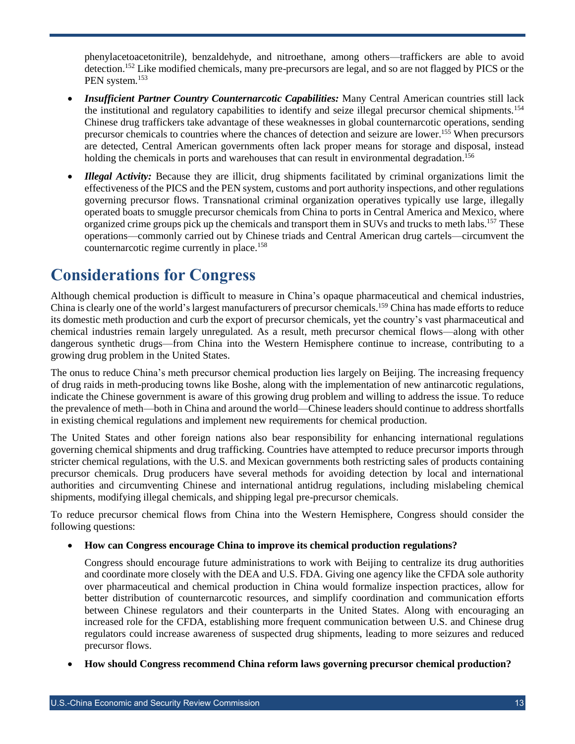phenylacetoacetonitrile), benzaldehyde, and nitroethane, among others—traffickers are able to avoid detection.<sup>152</sup> Like modified chemicals, many pre-precursors are legal, and so are not flagged by PICS or the PEN system.<sup>153</sup>

- *Insufficient Partner Country Counternarcotic Capabilities:* Many Central American countries still lack the institutional and regulatory capabilities to identify and seize illegal precursor chemical shipments.<sup>154</sup> Chinese drug traffickers take advantage of these weaknesses in global counternarcotic operations, sending precursor chemicals to countries where the chances of detection and seizure are lower. <sup>155</sup> When precursors are detected, Central American governments often lack proper means for storage and disposal, instead holding the chemicals in ports and warehouses that can result in environmental degradation.<sup>156</sup>
- *Illegal Activity:* Because they are illicit, drug shipments facilitated by criminal organizations limit the effectiveness of the PICS and the PEN system, customs and port authority inspections, and other regulations governing precursor flows. Transnational criminal organization operatives typically use large, illegally operated boats to smuggle precursor chemicals from China to ports in Central America and Mexico, where organized crime groups pick up the chemicals and transport them in SUVs and trucks to meth labs.<sup>157</sup> These operations—commonly carried out by Chinese triads and Central American drug cartels—circumvent the counternarcotic regime currently in place.<sup>158</sup>

### <span id="page-12-0"></span>**Considerations for Congress**

Although chemical production is difficult to measure in China's opaque pharmaceutical and chemical industries, China is clearly one of the world's largest manufacturers of precursor chemicals.<sup>159</sup> China has made efforts to reduce its domestic meth production and curb the export of precursor chemicals, yet the country's vast pharmaceutical and chemical industries remain largely unregulated. As a result, meth precursor chemical flows—along with other dangerous synthetic drugs—from China into the Western Hemisphere continue to increase, contributing to a growing drug problem in the United States.

The onus to reduce China's meth precursor chemical production lies largely on Beijing. The increasing frequency of drug raids in meth-producing towns like Boshe, along with the implementation of new antinarcotic regulations, indicate the Chinese government is aware of this growing drug problem and willing to address the issue. To reduce the prevalence of meth—both in China and around the world—Chinese leaders should continue to address shortfalls in existing chemical regulations and implement new requirements for chemical production.

The United States and other foreign nations also bear responsibility for enhancing international regulations governing chemical shipments and drug trafficking. Countries have attempted to reduce precursor imports through stricter chemical regulations, with the U.S. and Mexican governments both restricting sales of products containing precursor chemicals. Drug producers have several methods for avoiding detection by local and international authorities and circumventing Chinese and international antidrug regulations, including mislabeling chemical shipments, modifying illegal chemicals, and shipping legal pre-precursor chemicals.

To reduce precursor chemical flows from China into the Western Hemisphere, Congress should consider the following questions:

#### **How can Congress encourage China to improve its chemical production regulations?**

Congress should encourage future administrations to work with Beijing to centralize its drug authorities and coordinate more closely with the DEA and U.S. FDA. Giving one agency like the CFDA sole authority over pharmaceutical and chemical production in China would formalize inspection practices, allow for better distribution of counternarcotic resources, and simplify coordination and communication efforts between Chinese regulators and their counterparts in the United States. Along with encouraging an increased role for the CFDA, establishing more frequent communication between U.S. and Chinese drug regulators could increase awareness of suspected drug shipments, leading to more seizures and reduced precursor flows.

**How should Congress recommend China reform laws governing precursor chemical production?**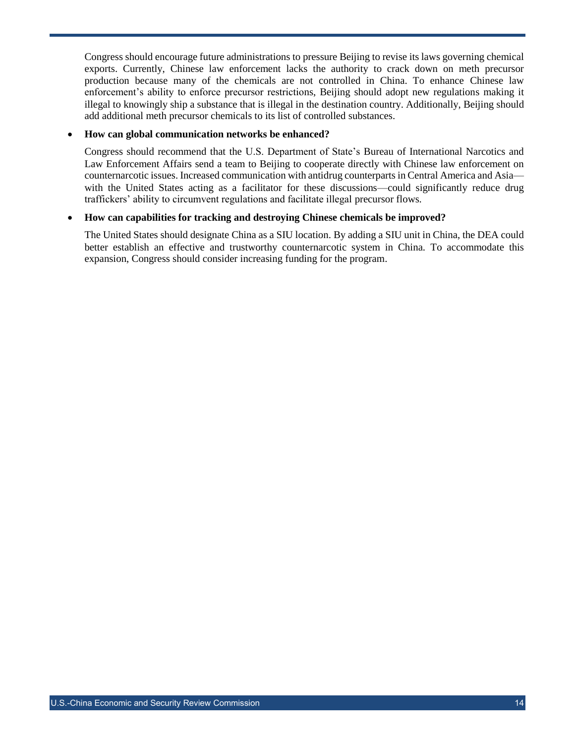Congress should encourage future administrations to pressure Beijing to revise its laws governing chemical exports. Currently, Chinese law enforcement lacks the authority to crack down on meth precursor production because many of the chemicals are not controlled in China. To enhance Chinese law enforcement's ability to enforce precursor restrictions, Beijing should adopt new regulations making it illegal to knowingly ship a substance that is illegal in the destination country. Additionally, Beijing should add additional meth precursor chemicals to its list of controlled substances.

#### **How can global communication networks be enhanced?**

Congress should recommend that the U.S. Department of State's Bureau of International Narcotics and Law Enforcement Affairs send a team to Beijing to cooperate directly with Chinese law enforcement on counternarcotic issues. Increased communication with antidrug counterparts in Central America and Asia with the United States acting as a facilitator for these discussions—could significantly reduce drug traffickers' ability to circumvent regulations and facilitate illegal precursor flows.

#### **How can capabilities for tracking and destroying Chinese chemicals be improved?**

The United States should designate China as a SIU location. By adding a SIU unit in China, the DEA could better establish an effective and trustworthy counternarcotic system in China. To accommodate this expansion, Congress should consider increasing funding for the program.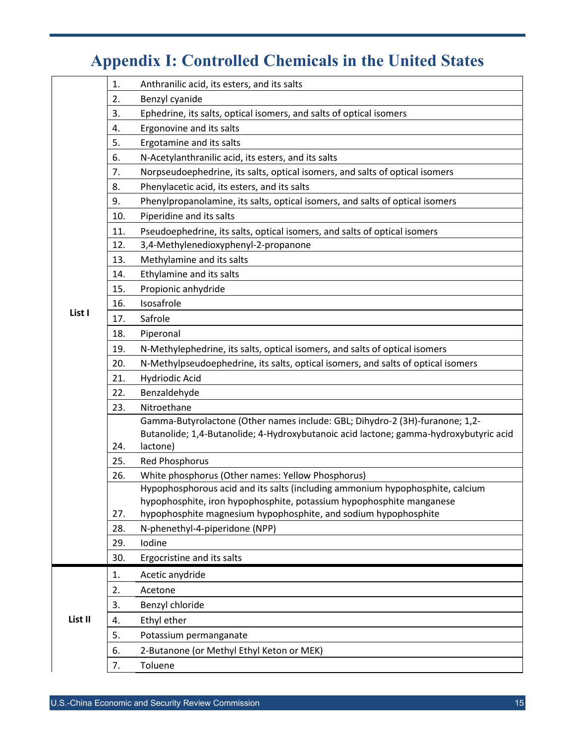# **Appendix I: Controlled Chemicals in the United States**

<span id="page-14-0"></span>

|         | 1.  | Anthranilic acid, its esters, and its salts                                                                                        |
|---------|-----|------------------------------------------------------------------------------------------------------------------------------------|
|         | 2.  | Benzyl cyanide                                                                                                                     |
|         | 3.  | Ephedrine, its salts, optical isomers, and salts of optical isomers                                                                |
|         | 4.  | Ergonovine and its salts                                                                                                           |
|         | 5.  | Ergotamine and its salts                                                                                                           |
|         | 6.  | N-Acetylanthranilic acid, its esters, and its salts                                                                                |
|         | 7.  | Norpseudoephedrine, its salts, optical isomers, and salts of optical isomers                                                       |
|         | 8.  | Phenylacetic acid, its esters, and its salts                                                                                       |
|         | 9.  | Phenylpropanolamine, its salts, optical isomers, and salts of optical isomers                                                      |
|         | 10. | Piperidine and its salts                                                                                                           |
|         | 11. | Pseudoephedrine, its salts, optical isomers, and salts of optical isomers                                                          |
|         | 12. | 3,4-Methylenedioxyphenyl-2-propanone                                                                                               |
|         | 13. | Methylamine and its salts                                                                                                          |
|         | 14. | Ethylamine and its salts                                                                                                           |
|         | 15. | Propionic anhydride                                                                                                                |
|         | 16. | Isosafrole                                                                                                                         |
| List I  | 17. | Safrole                                                                                                                            |
|         | 18. | Piperonal                                                                                                                          |
|         | 19. | N-Methylephedrine, its salts, optical isomers, and salts of optical isomers                                                        |
|         | 20. | N-Methylpseudoephedrine, its salts, optical isomers, and salts of optical isomers                                                  |
|         | 21. | Hydriodic Acid                                                                                                                     |
|         | 22. | Benzaldehyde                                                                                                                       |
|         | 23. | Nitroethane                                                                                                                        |
|         |     | Gamma-Butyrolactone (Other names include: GBL; Dihydro-2 (3H)-furanone; 1,2-                                                       |
|         |     | Butanolide; 1,4-Butanolide; 4-Hydroxybutanoic acid lactone; gamma-hydroxybutyric acid                                              |
|         | 24. | lactone)                                                                                                                           |
|         | 25. | <b>Red Phosphorus</b>                                                                                                              |
|         | 26. | White phosphorus (Other names: Yellow Phosphorus)<br>Hypophosphorous acid and its salts (including ammonium hypophosphite, calcium |
|         |     | hypophosphite, iron hypophosphite, potassium hypophosphite manganese                                                               |
|         | 27. | hypophosphite magnesium hypophosphite, and sodium hypophosphite                                                                    |
|         | 28. | N-phenethyl-4-piperidone (NPP)                                                                                                     |
|         | 29. | Iodine                                                                                                                             |
|         | 30. | Ergocristine and its salts                                                                                                         |
|         | 1.  | Acetic anydride                                                                                                                    |
|         | 2.  | Acetone                                                                                                                            |
|         | 3.  | Benzyl chloride                                                                                                                    |
| List II | 4.  | Ethyl ether                                                                                                                        |
|         | 5.  | Potassium permanganate                                                                                                             |
|         | 6.  | 2-Butanone (or Methyl Ethyl Keton or MEK)                                                                                          |
|         | 7.  | Toluene                                                                                                                            |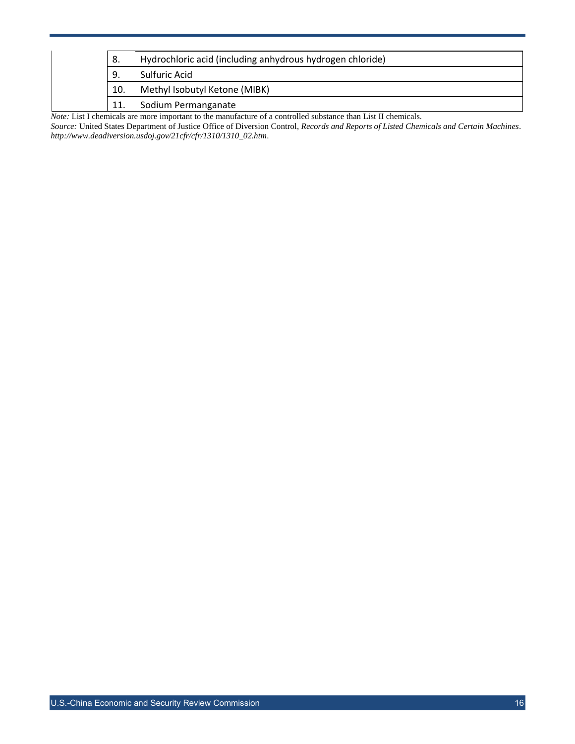|                                                                                                                       | -8. | Hydrochloric acid (including anhydrous hydrogen chloride) |  |  |
|-----------------------------------------------------------------------------------------------------------------------|-----|-----------------------------------------------------------|--|--|
|                                                                                                                       | 9.  | Sulfuric Acid                                             |  |  |
|                                                                                                                       | 10. | Methyl Isobutyl Ketone (MIBK)                             |  |  |
|                                                                                                                       | 11. | Sodium Permanganate                                       |  |  |
| <i>Note:</i> List I chemicals are more important to the manufacture of a controlled substance than List II chemicals. |     |                                                           |  |  |

*Source:* United States Department of Justice Office of Diversion Control, *Records and Reports of Listed Chemicals and Certain Machines*. *[http://www.deadiversion.usdoj.gov/21cfr/cfr/1310/1310\\_02.htm](http://www.deadiversion.usdoj.gov/21cfr/cfr/1310/1310_02.htm)*.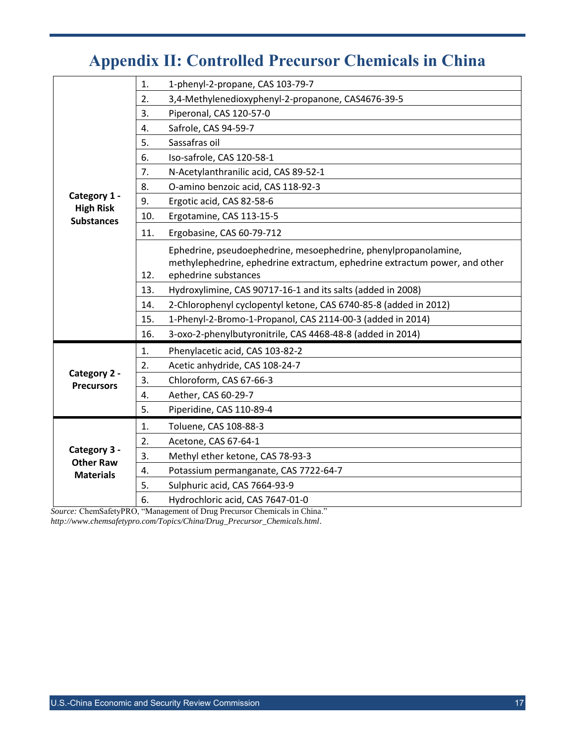# **Appendix II: Controlled Precursor Chemicals in China**

<span id="page-16-0"></span>

|                                       | 1.  | 1-phenyl-2-propane, CAS 103-79-7                                           |
|---------------------------------------|-----|----------------------------------------------------------------------------|
|                                       | 2.  | 3,4-Methylenedioxyphenyl-2-propanone, CAS4676-39-5                         |
|                                       | 3.  | Piperonal, CAS 120-57-0                                                    |
|                                       | 4.  | Safrole, CAS 94-59-7                                                       |
|                                       | 5.  | Sassafras oil                                                              |
|                                       | 6.  | Iso-safrole, CAS 120-58-1                                                  |
|                                       | 7.  | N-Acetylanthranilic acid, CAS 89-52-1                                      |
|                                       | 8.  | O-amino benzoic acid, CAS 118-92-3                                         |
| Category 1 -                          | 9.  | Ergotic acid, CAS 82-58-6                                                  |
| <b>High Risk</b><br><b>Substances</b> | 10. | Ergotamine, CAS 113-15-5                                                   |
|                                       | 11. | Ergobasine, CAS 60-79-712                                                  |
|                                       |     | Ephedrine, pseudoephedrine, mesoephedrine, phenylpropanolamine,            |
|                                       |     | methylephedrine, ephedrine extractum, ephedrine extractum power, and other |
|                                       | 12. | ephedrine substances                                                       |
|                                       | 13. | Hydroxylimine, CAS 90717-16-1 and its salts (added in 2008)                |
|                                       | 14. | 2-Chlorophenyl cyclopentyl ketone, CAS 6740-85-8 (added in 2012)           |
|                                       | 15. | 1-Phenyl-2-Bromo-1-Propanol, CAS 2114-00-3 (added in 2014)                 |
|                                       | 16. | 3-oxo-2-phenylbutyronitrile, CAS 4468-48-8 (added in 2014)                 |
|                                       | 1.  | Phenylacetic acid, CAS 103-82-2                                            |
|                                       | 2.  | Acetic anhydride, CAS 108-24-7                                             |
| Category 2 -<br><b>Precursors</b>     | 3.  | Chloroform, CAS 67-66-3                                                    |
|                                       | 4.  | Aether, CAS 60-29-7                                                        |
|                                       | 5.  | Piperidine, CAS 110-89-4                                                   |
|                                       | 1.  | Toluene, CAS 108-88-3                                                      |
|                                       | 2.  | Acetone, CAS 67-64-1                                                       |
| Category 3 -<br><b>Other Raw</b>      | 3.  | Methyl ether ketone, CAS 78-93-3                                           |
| <b>Materials</b>                      | 4.  | Potassium permanganate, CAS 7722-64-7                                      |
|                                       | 5.  | Sulphuric acid, CAS 7664-93-9                                              |
|                                       | 6.  | Hydrochloric acid, CAS 7647-01-0                                           |
|                                       |     |                                                                            |

*Source:* ChemSafetyPRO, "Management of Drug Precursor Chemicals in China." *[http://www.chemsafetypro.com/Topics/China/Drug\\_Precursor\\_Chemicals.html](http://www.chemsafetypro.com/Topics/China/Drug_Precursor_Chemicals.html)*.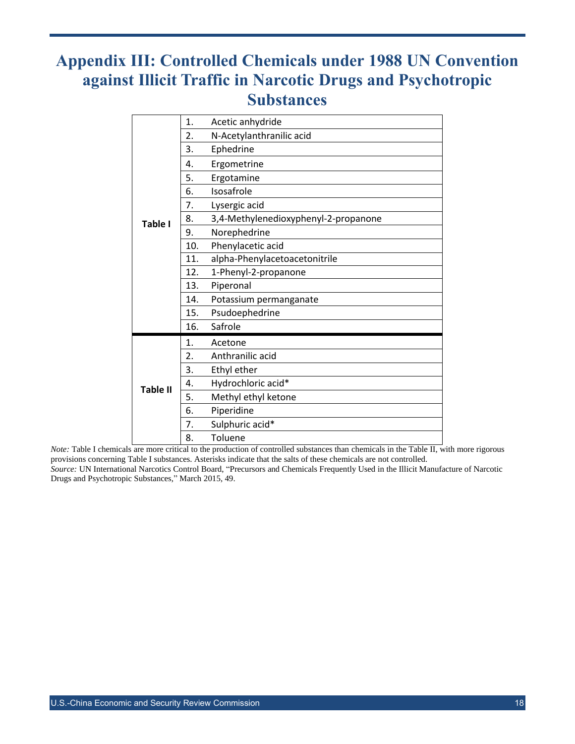## <span id="page-17-0"></span>**Appendix III: Controlled Chemicals under 1988 UN Convention against Illicit Traffic in Narcotic Drugs and Psychotropic Substances**

|                 | 1.  | Acetic anhydride                     |
|-----------------|-----|--------------------------------------|
|                 | 2.  | N-Acetylanthranilic acid             |
|                 | 3.  | Ephedrine                            |
|                 | 4.  | Ergometrine                          |
|                 | 5.  | Ergotamine                           |
| <b>Table I</b>  | 6.  | Isosafrole                           |
|                 | 7.  | Lysergic acid                        |
|                 | 8.  | 3,4-Methylenedioxyphenyl-2-propanone |
|                 | 9.  | Norephedrine                         |
|                 | 10. | Phenylacetic acid                    |
|                 | 11. | alpha-Phenylacetoacetonitrile        |
|                 | 12. | 1-Phenyl-2-propanone                 |
|                 | 13. | Piperonal                            |
|                 | 14. | Potassium permanganate               |
|                 | 15. | Psudoephedrine                       |
|                 | 16. | Safrole                              |
|                 | 1.  | Acetone                              |
|                 | 2.  | Anthranilic acid                     |
|                 | 3.  | Ethyl ether                          |
| <b>Table II</b> | 4.  | Hydrochloric acid*                   |
|                 | 5.  | Methyl ethyl ketone                  |
|                 | 6.  | Piperidine                           |
|                 | 7.  | Sulphuric acid*                      |
|                 | 8.  | Toluene                              |

*Note:* Table I chemicals are more critical to the production of controlled substances than chemicals in the Table II, with more rigorous provisions concerning Table I substances. Asterisks indicate that the salts of these chemicals are not controlled.

*Source:* UN International Narcotics Control Board, "Precursors and Chemicals Frequently Used in the Illicit Manufacture of Narcotic Drugs and Psychotropic Substances," March 2015, 49.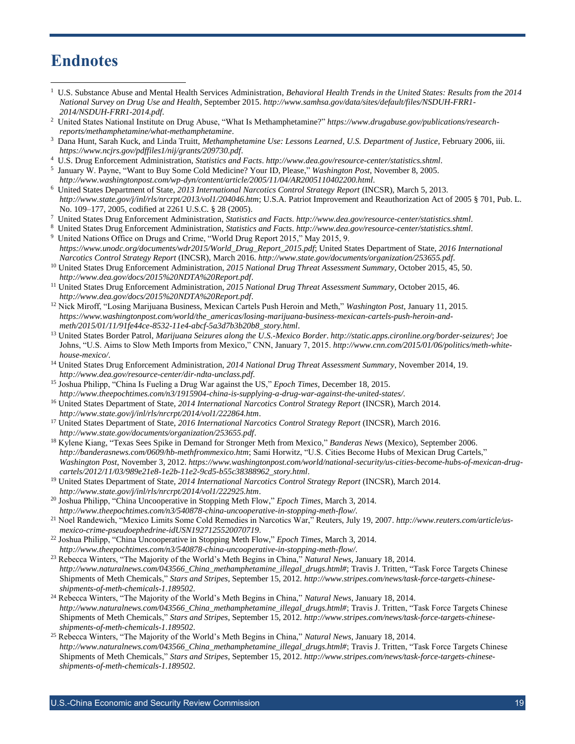### <span id="page-18-0"></span>**Endnotes**

- 1 U.S. Substance Abuse and Mental Health Services Administration, *Behavioral Health Trends in the United States: Results from the 2014 National Survey on Drug Use and Health*, September 2015. *[http://www.samhsa.gov/data/sites/default/files/NSDUH-FRR1-](http://www.samhsa.gov/data/sites/default/files/NSDUH-FRR1-2014/NSDUH-FRR1-2014.pdf) [2014/NSDUH-FRR1-2014.pdf](http://www.samhsa.gov/data/sites/default/files/NSDUH-FRR1-2014/NSDUH-FRR1-2014.pdf)*.
- 2 United States National Institute on Drug Abuse, "What Is Methamphetamine?" *[https://www.drugabuse.gov/publications/research](https://www.drugabuse.gov/publications/research-reports/methamphetamine/what-methamphetamine)[reports/methamphetamine/what-methamphetamine](https://www.drugabuse.gov/publications/research-reports/methamphetamine/what-methamphetamine)*.
- 3 Dana Hunt, Sarah Kuck, and Linda Truitt, *Methamphetamine Use: Lessons Learned*, *U.S. Department of Justice*, February 2006, iii. *<https://www.ncjrs.gov/pdffiles1/nij/grants/209730.pdf>*.
- 4 U.S. Drug Enforcement Administration, *Statistics and Facts*. *<http://www.dea.gov/resource-center/statistics.shtml>*.
- 5 January W. Payne, "Want to Buy Some Cold Medicine? Your ID, Please," *Washington Post*, November 8, 2005.
- *<http://www.washingtonpost.com/wp-dyn/content/article/2005/11/04/AR2005110402200.html>*. 6 United States Department of State, *2013 International Narcotics Control Strategy Report* (INCSR), March 5, 2013. *<http://www.state.gov/j/inl/rls/nrcrpt/2013/vol1/204046.htm>*; U.S.A. Patriot Improvement and Reauthorization Act of 2005 § 701, Pub. L. No. 109–177, 2005, codified at 2261 U.S.C. § 28 (2005).
- 7 United States Drug Enforcement Administration, *Statistics and Facts*. *<http://www.dea.gov/resource-center/statistics.shtml>*.
- 8 United States Drug Enforcement Administration, *Statistics and Facts*. *<http://www.dea.gov/resource-center/statistics.shtml>*. 9 United Nations Office on Drugs and Crime, "World Drug Report 2015," May 2015, 9.
- *[https://www.unodc.org/documents/wdr2015/World\\_Drug\\_Report\\_2015.pdf](https://www.unodc.org/documents/wdr2015/World_Drug_Report_2015.pdf)*; United States Department of State, *2016 International Narcotics Control Strategy Report* (INCSR), March 2016. *<http://www.state.gov/documents/organization/253655.pdf>*.
- <sup>10</sup> United States Drug Enforcement Administration, *2015 National Drug Threat Assessment Summary*, October 2015, 45, 50. *<http://www.dea.gov/docs/2015%20NDTA%20Report.pdf>*.
- <sup>11</sup> United States Drug Enforcement Administration, *2015 National Drug Threat Assessment Summary*, October 2015, 46. *<http://www.dea.gov/docs/2015%20NDTA%20Report.pdf>*.
- <sup>12</sup> Nick Miroff, "Losing Marijuana Business, Mexican Cartels Push Heroin and Meth," *Washington Post*, January 11, 2015. *[https://www.washingtonpost.com/world/the\\_americas/losing-marijuana-business-mexican-cartels-push-heroin-and](https://www.washingtonpost.com/world/the_americas/losing-marijuana-business-mexican-cartels-push-heroin-and-meth/2015/01/11/91fe44ce-8532-11e4-abcf-5a3d7b3b20b8_story.html)[meth/2015/01/11/91fe44ce-8532-11e4-abcf-5a3d7b3b20b8\\_story.html](https://www.washingtonpost.com/world/the_americas/losing-marijuana-business-mexican-cartels-push-heroin-and-meth/2015/01/11/91fe44ce-8532-11e4-abcf-5a3d7b3b20b8_story.html)*.
- <sup>13</sup> United States Border Patrol, *Marijuana Seizures along the U.S.-Mexico Border*. *<http://static.apps.cironline.org/border-seizures/>*; Joe Johns, "U.S. Aims to Slow Meth Imports from Mexico," CNN, January 7, 2015. *[http://www.cnn.com/2015/01/06/politics/meth-white](http://www.cnn.com/2015/01/06/politics/meth-white-house-mexico/)[house-mexico/](http://www.cnn.com/2015/01/06/politics/meth-white-house-mexico/)*.
- <sup>14</sup> United States Drug Enforcement Administration, *2014 National Drug Threat Assessment Summary*, November 2014, 19. *<http://www.dea.gov/resource-center/dir-ndta-unclass.pdf>*.
- <sup>15</sup> Joshua Philipp, "China Is Fueling a Drug War against the US," *Epoch Times*, December 18, 2015. *<http://www.theepochtimes.com/n3/1915904-china-is-supplying-a-drug-war-against-the-united-states/>*.
- <sup>16</sup> United States Department of State, *2014 International Narcotics Control Strategy Report* (INCSR), March 2014. *<http://www.state.gov/j/inl/rls/nrcrpt/2014/vol1/222864.htm>*.
- <sup>17</sup> United States Department of State, *2016 International Narcotics Control Strategy Report* (INCSR), March 2016. *<http://www.state.gov/documents/organization/253655.pdf>*.
- <sup>18</sup> Kylene Kiang, "Texas Sees Spike in Demand for Stronger Meth from Mexico," *Banderas News* (Mexico), September 2006. *<http://banderasnews.com/0609/hb-methfrommexico.htm>*; Sami Horwitz, "U.S. Cities Become Hubs of Mexican Drug Cartels," *Washington Post*, November 3, 2012. *[https://www.washingtonpost.com/world/national-security/us-cities-become-hubs-of-mexican-drug](https://www.washingtonpost.com/world/national-security/us-cities-become-hubs-of-mexican-drug-cartels/2012/11/03/989e21e8-1e2b-11e2-9cd5-b55c38388962_story.html)[cartels/2012/11/03/989e21e8-1e2b-11e2-9cd5-b55c38388962\\_story.html](https://www.washingtonpost.com/world/national-security/us-cities-become-hubs-of-mexican-drug-cartels/2012/11/03/989e21e8-1e2b-11e2-9cd5-b55c38388962_story.html)*.
- <sup>19</sup> United States Department of State, *2014 International Narcotics Control Strategy Report* (INCSR), March 2014. *<http://www.state.gov/j/inl/rls/nrcrpt/2014/vol1/222925.htm>*.
- <sup>20</sup> Joshua Philipp, "China Uncooperative in Stopping Meth Flow," *Epoch Times*, March 3, 2014. *<http://www.theepochtimes.com/n3/540878-china-uncooperative-in-stopping-meth-flow/>*.
- <sup>21</sup> Noel Randewich, "Mexico Limits Some Cold Remedies in Narcotics War," Reuters, July 19, 2007. *[http://www.reuters.com/article/us](http://www.reuters.com/article/us-mexico-crime-pseudoephedrine-idUSN1927125520070719)[mexico-crime-pseudoephedrine-idUSN1927125520070719](http://www.reuters.com/article/us-mexico-crime-pseudoephedrine-idUSN1927125520070719)*.
- <sup>22</sup> Joshua Philipp, "China Uncooperative in Stopping Meth Flow," *Epoch Times*, March 3, 2014. *<http://www.theepochtimes.com/n3/540878-china-uncooperative-in-stopping-meth-flow/>*.
- <sup>23</sup> Rebecca Winters, "The Majority of the World's Meth Begins in China," *Natural News*, January 18, 2014. *[http://www.naturalnews.com/043566\\_China\\_methamphetamine\\_illegal\\_drugs.html#](http://www.naturalnews.com/043566_China_methamphetamine_illegal_drugs.html)*; Travis J. Tritten, "Task Force Targets Chinese Shipments of Meth Chemicals," *Stars and Stripes*, September 15, 2012. *[http://www.stripes.com/news/task-force-targets-chinese](http://www.stripes.com/news/task-force-targets-chinese-shipments-of-meth-chemicals-1.189502)[shipments-of-meth-chemicals-1.189502](http://www.stripes.com/news/task-force-targets-chinese-shipments-of-meth-chemicals-1.189502)*.
- <sup>24</sup> Rebecca Winters, "The Majority of the World's Meth Begins in China," *Natural News*, January 18, 2014. *[http://www.naturalnews.com/043566\\_China\\_methamphetamine\\_illegal\\_drugs.html#](http://www.naturalnews.com/043566_China_methamphetamine_illegal_drugs.html)*; Travis J. Tritten, "Task Force Targets Chinese Shipments of Meth Chemicals," *Stars and Stripes*, September 15, 2012. *[http://www.stripes.com/news/task-force-targets-chinese](http://www.stripes.com/news/task-force-targets-chinese-shipments-of-meth-chemicals-1.189502)[shipments-of-meth-chemicals-1.189502](http://www.stripes.com/news/task-force-targets-chinese-shipments-of-meth-chemicals-1.189502)*.
- <sup>25</sup> Rebecca Winters, "The Majority of the World's Meth Begins in China," *Natural News*, January 18, 2014. *[http://www.naturalnews.com/043566\\_China\\_methamphetamine\\_illegal\\_drugs.html#](http://www.naturalnews.com/043566_China_methamphetamine_illegal_drugs.html)*; Travis J. Tritten, "Task Force Targets Chinese Shipments of Meth Chemicals," *Stars and Stripes*, September 15, 2012. *[http://www.stripes.com/news/task-force-targets-chinese](http://www.stripes.com/news/task-force-targets-chinese-shipments-of-meth-chemicals-1.189502)[shipments-of-meth-chemicals-1.189502](http://www.stripes.com/news/task-force-targets-chinese-shipments-of-meth-chemicals-1.189502)*.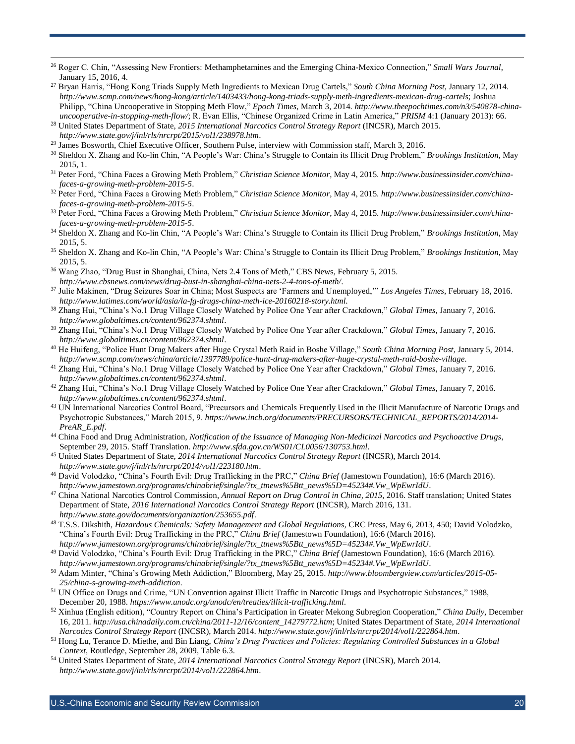- <sup>26</sup> Roger C. Chin, "Assessing New Frontiers: Methamphetamines and the Emerging China-Mexico Connection," *Small Wars Journal*, January 15, 2016, 4.
- <sup>27</sup> Bryan Harris, "Hong Kong Triads Supply Meth Ingredients to Mexican Drug Cartels," *South China Morning Post*, January 12, 2014. *<http://www.scmp.com/news/hong-kong/article/1403433/hong-kong-triads-supply-meth-ingredients-mexican-drug-cartels>*; Joshua Philipp, "China Uncooperative in Stopping Meth Flow," *Epoch Times*, March 3, 2014. *[http://www.theepochtimes.com/n3/540878-china](http://www.theepochtimes.com/n3/540878-china-uncooperative-in-stopping-meth-flow/)[uncooperative-in-stopping-meth-flow/](http://www.theepochtimes.com/n3/540878-china-uncooperative-in-stopping-meth-flow/)*; R. Evan Ellis, "Chinese Organized Crime in Latin America," *PRISM* 4:1 (January 2013): 66.
- <sup>28</sup> United States Department of State, *2015 International Narcotics Control Strategy Report* (INCSR), March 2015. *<http://www.state.gov/j/inl/rls/nrcrpt/2015/vol1/238978.htm>*.
- <sup>29</sup> James Bosworth, Chief Executive Officer, Southern Pulse, interview with Commission staff, March 3, 2016.

- <sup>30</sup> Sheldon X. Zhang and Ko-lin Chin, "A People's War: China's Struggle to Contain its Illicit Drug Problem," *Brookings Institution*, May 2015, 1.
- <sup>31</sup> Peter Ford, "China Faces a Growing Meth Problem," *Christian Science Monitor*, May 4, 2015. *[http://www.businessinsider.com/china](http://www.businessinsider.com/china-faces-a-growing-meth-problem-2015-5)[faces-a-growing-meth-problem-2015-5](http://www.businessinsider.com/china-faces-a-growing-meth-problem-2015-5)*.
- <sup>32</sup> Peter Ford, "China Faces a Growing Meth Problem," *Christian Science Monitor*, May 4, 2015. *[http://www.businessinsider.com/china](http://www.businessinsider.com/china-faces-a-growing-meth-problem-2015-5)[faces-a-growing-meth-problem-2015-5](http://www.businessinsider.com/china-faces-a-growing-meth-problem-2015-5)*.
- <sup>33</sup> Peter Ford, "China Faces a Growing Meth Problem," *Christian Science Monitor*, May 4, 2015. *[http://www.businessinsider.com/china](http://www.businessinsider.com/china-faces-a-growing-meth-problem-2015-5)[faces-a-growing-meth-problem-2015-5](http://www.businessinsider.com/china-faces-a-growing-meth-problem-2015-5)*.
- <sup>34</sup> Sheldon X. Zhang and Ko-lin Chin, "A People's War: China's Struggle to Contain its Illicit Drug Problem," *Brookings Institution*, May 2015, 5.
- <sup>35</sup> Sheldon X. Zhang and Ko-lin Chin, "A People's War: China's Struggle to Contain its Illicit Drug Problem," *Brookings Institution*, May 2015, 5.
- <sup>36</sup> Wang Zhao, "Drug Bust in Shanghai, China, Nets 2.4 Tons of Meth," CBS News, February 5, 2015. *<http://www.cbsnews.com/news/drug-bust-in-shanghai-china-nets-2-4-tons-of-meth/>*.
- <sup>37</sup> Julie Makinen, "Drug Seizures Soar in China; Most Suspects are 'Farmers and Unemployed,'" *Los Angeles Times*, February 18, 2016. *<http://www.latimes.com/world/asia/la-fg-drugs-china-meth-ice-20160218-story.html>*.
- <sup>38</sup> Zhang Hui, "China's No.1 Drug Village Closely Watched by Police One Year after Crackdown," *Global Times*, January 7, 2016. *<http://www.globaltimes.cn/content/962374.shtml>*.
- <sup>39</sup> Zhang Hui, "China's No.1 Drug Village Closely Watched by Police One Year after Crackdown," *Global Times*, January 7, 2016. *<http://www.globaltimes.cn/content/962374.shtml>*.
- <sup>40</sup> He Huifeng, "Police Hunt Drug Makers after Huge Crystal Meth Raid in Boshe Village," *South China Morning Post*, January 5, 2014. *<http://www.scmp.com/news/china/article/1397789/police-hunt-drug-makers-after-huge-crystal-meth-raid-boshe-village>*.
- <sup>41</sup> Zhang Hui, "China's No.1 Drug Village Closely Watched by Police One Year after Crackdown," *Global Times*, January 7, 2016. *<http://www.globaltimes.cn/content/962374.shtml>*.
- <sup>42</sup> Zhang Hui, "China's No.1 Drug Village Closely Watched by Police One Year after Crackdown," *Global Times*, January 7, 2016. *<http://www.globaltimes.cn/content/962374.shtml>*.
- 43 UN International Narcotics Control Board, "Precursors and Chemicals Frequently Used in the Illicit Manufacture of Narcotic Drugs and Psychotropic Substances," March 2015, 9. *[https://www.incb.org/documents/PRECURSORS/TECHNICAL\\_REPORTS/2014/2014-](https://www.incb.org/documents/PRECURSORS/TECHNICAL_REPORTS/2014/2014-PreAR_E.pdf) [PreAR\\_E.pdf](https://www.incb.org/documents/PRECURSORS/TECHNICAL_REPORTS/2014/2014-PreAR_E.pdf)*.
- <sup>44</sup> China Food and Drug Administration, *Notification of the Issuance of Managing Non-Medicinal Narcotics and Psychoactive Drugs*, September 29, 2015. Staff Translation. *<http://www.sfda.gov.cn/WS01/CL0056/130753.html>*.
- <sup>45</sup> United States Department of State, *2014 International Narcotics Control Strategy Report* (INCSR), March 2014. *<http://www.state.gov/j/inl/rls/nrcrpt/2014/vol1/223180.htm>*.
- <sup>46</sup> David Volodzko, "China's Fourth Evil: Drug Trafficking in the PRC," *China Brief* (Jamestown Foundation), 16:6 (March 2016). *[http://www.jamestown.org/programs/chinabrief/single/?tx\\_ttnews%5Btt\\_news%5D=45234#.Vw\\_WpEwrIdU](http://www.jamestown.org/programs/chinabrief/single/?tx_ttnews%5Btt_news%5D=45234#.Vw_WpEwrIdU)*.
- <sup>47</sup> China National Narcotics Control Commission, *Annual Report on Drug Control in China, 2015*, 2016. Staff translation; United States Department of State, *2016 International Narcotics Control Strategy Report* (INCSR), March 2016, 131. *<http://www.state.gov/documents/organization/253655.pdf>*.
- <sup>48</sup> T.S.S. Dikshith, *Hazardous Chemicals: Safety Management and Global Regulations*, CRC Press, May 6, 2013, 450; David Volodzko, "China's Fourth Evil: Drug Trafficking in the PRC," *China Brief* (Jamestown Foundation), 16:6 (March 2016). *[http://www.jamestown.org/programs/chinabrief/single/?tx\\_ttnews%5Btt\\_news%5D=45234#.Vw\\_WpEwrIdU](http://www.jamestown.org/programs/chinabrief/single/?tx_ttnews%5Btt_news%5D=45234#.Vw_WpEwrIdU)*.
- <sup>49</sup> David Volodzko, "China's Fourth Evil: Drug Trafficking in the PRC," *China Brief* (Jamestown Foundation), 16:6 (March 2016). *[http://www.jamestown.org/programs/chinabrief/single/?tx\\_ttnews%5Btt\\_news%5D=45234#.Vw\\_WpEwrIdU](http://www.jamestown.org/programs/chinabrief/single/?tx_ttnews%5Btt_news%5D=45234#.Vw_WpEwrIdU)*.
- <sup>50</sup> Adam Minter, "China's Growing Meth Addiction," Bloomberg, May 25, 2015. *[http://www.bloombergview.com/articles/2015-05-](http://www.bloombergview.com/articles/2015-05-25/china-s-growing-meth-addiction) [25/china-s-growing-meth-addiction](http://www.bloombergview.com/articles/2015-05-25/china-s-growing-meth-addiction)*.
- <sup>51</sup> UN Office on Drugs and Crime, "UN Convention against Illicit Traffic in Narcotic Drugs and Psychotropic Substances," 1988, December 20, 1988. *<https://www.unodc.org/unodc/en/treaties/illicit-trafficking.html>*.
- <sup>52</sup> Xinhua (English edition), "Country Report on China's Participation in Greater Mekong Subregion Cooperation," *China Daily*, December 16, 2011. *[http://usa.chinadaily.com.cn/china/2011-12/16/content\\_14279772.htm](http://usa.chinadaily.com.cn/china/2011-12/16/content_14279772.htm)*; United States Department of State, *2014 International Narcotics Control Strategy Report* (INCSR), March 2014. *<http://www.state.gov/j/inl/rls/nrcrpt/2014/vol1/222864.htm>*.
- <sup>53</sup> Hong Lu, Terance D. Miethe, and Bin Liang, *China's Drug Practices and Policies: Regulating Controlled Substances in a Global Context*, Routledge, September 28, 2009, Table 6.3.
- <sup>54</sup> United States Department of State, *2014 International Narcotics Control Strategy Report* (INCSR), March 2014. *<http://www.state.gov/j/inl/rls/nrcrpt/2014/vol1/222864.htm>*.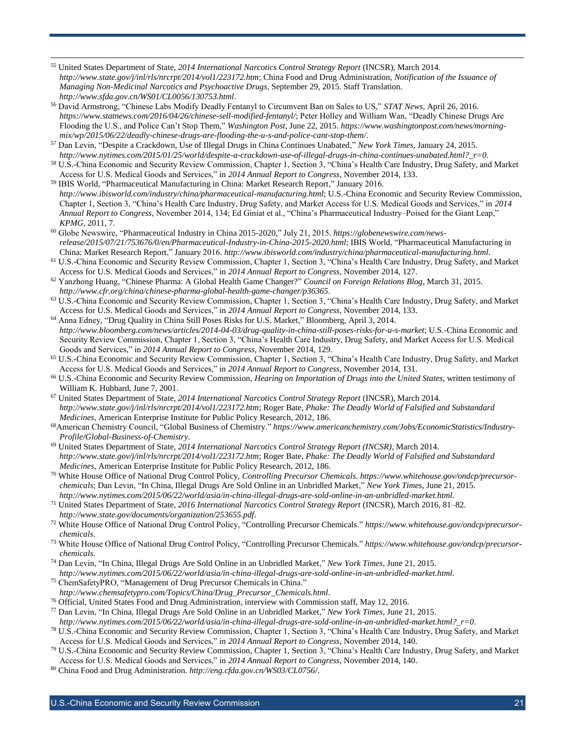<sup>55</sup> United States Department of State, *2014 International Narcotics Control Strategy Report* (INCSR), March 2014. *<http://www.state.gov/j/inl/rls/nrcrpt/2014/vol1/223172.htm>*; China Food and Drug Administration, *Notification of the Issuance of Managing Non-Medicinal Narcotics and Psychoactive Drugs*, September 29, 2015. Staff Translation. *<http://www.sfda.gov.cn/WS01/CL0056/130753.html>*.

- <sup>56</sup> David Armstrong, "Chinese Labs Modify Deadly Fentanyl to Circumvent Ban on Sales to US," *STAT News*, April 26, 2016. *<https://www.statnews.com/2016/04/26/chinese-sell-modified-fentanyl/>*; Peter Holley and William Wan, "Deadly Chinese Drugs Are Flooding the U.S., and Police Can't Stop Them," *Washington Post*, June 22, 2015. *[https://www.washingtonpost.com/news/morning](https://www.washingtonpost.com/news/morning-mix/wp/2015/06/22/deadly-chinese-drugs-are-flooding-the-u-s-and-police-cant-stop-them/)[mix/wp/2015/06/22/deadly-chinese-drugs-are-flooding-the-u-s-and-police-cant-stop-them/](https://www.washingtonpost.com/news/morning-mix/wp/2015/06/22/deadly-chinese-drugs-are-flooding-the-u-s-and-police-cant-stop-them/)*.
- <sup>57</sup> Dan Levin, "Despite a Crackdown, Use of Illegal Drugs in China Continues Unabated," *New York Times*, January 24, 2015. *[http://www.nytimes.com/2015/01/25/world/despite-a-crackdown-use-of-illegal-drugs-in-china-continues-unabated.html?\\_r=0](http://www.nytimes.com/2015/01/25/world/despite-a-crackdown-use-of-illegal-drugs-in-china-continues-unabated.html?_r=0)*.
- <sup>58</sup> U.S.-China Economic and Security Review Commission, Chapter 1, Section 3, "China's Health Care Industry, Drug Safety, and Market Access for U.S. Medical Goods and Services," in *2014 Annual Report to Congress*, November 2014, 133.
- <sup>59</sup> IBIS World, "Pharmaceutical Manufacturing in China: Market Research Report," January 2016. *<http://www.ibisworld.com/industry/china/pharmaceutical-manufacturing.html>*; U.S.-China Economic and Security Review Commission, Chapter 1, Section 3, "China's Health Care Industry, Drug Safety, and Market Access for U.S. Medical Goods and Services," in *2014 Annual Report to Congress*, November 2014, 134; Ed Giniat et al., "China's Pharmaceutical Industry–Poised for the Giant Leap," *KPMG*, 2011, 7.
- <sup>60</sup> Globe Newswire, "Pharmaceutical Industry in China 2015-2020," July 21, 2015. *[https://globenewswire.com/news](https://globenewswire.com/news-release/2015/07/21/753676/0/en/Pharmaceutical-Industry-in-China-2015-2020.html)[release/2015/07/21/753676/0/en/Pharmaceutical-Industry-in-China-2015-2020.html](https://globenewswire.com/news-release/2015/07/21/753676/0/en/Pharmaceutical-Industry-in-China-2015-2020.html)*; IBIS World, "Pharmaceutical Manufacturing in China: Market Research Report," January 2016. *<http://www.ibisworld.com/industry/china/pharmaceutical-manufacturing.html>*.
- <sup>61</sup> U.S.-China Economic and Security Review Commission, Chapter 1, Section 3, "China's Health Care Industry, Drug Safety, and Market Access for U.S. Medical Goods and Services," in *2014 Annual Report to Congress*, November 2014, 127.
- <sup>62</sup> Yanzhong Huang, "Chinese Pharma: A Global Health Game Changer?" *Council on Foreign Relations Blog*, March 31, 2015. *<http://www.cfr.org/china/chinese-pharma-global-health-game-changer/p36365>*.
- <sup>63</sup> U.S.-China Economic and Security Review Commission, Chapter 1, Section 3, "China's Health Care Industry, Drug Safety, and Market Access for U.S. Medical Goods and Services," in *2014 Annual Report to Congress*, November 2014, 133.
- <sup>64</sup> Anna Edney, "Drug Quality in China Still Poses Risks for U.S. Market," Bloomberg, April 3, 2014. *<http://www.bloomberg.com/news/articles/2014-04-03/drug-quality-in-china-still-poses-risks-for-u-s-market>*; U.S.-China Economic and Security Review Commission, Chapter 1, Section 3, "China's Health Care Industry, Drug Safety, and Market Access for U.S. Medical Goods and Services," in *2014 Annual Report to Congress*, November 2014, 129.
- <sup>65</sup> U.S.-China Economic and Security Review Commission, Chapter 1, Section 3, "China's Health Care Industry, Drug Safety, and Market Access for U.S. Medical Goods and Services," in *2014 Annual Report to Congress*, November 2014, 131.
- <sup>66</sup> U.S.-China Economic and Security Review Commission, *Hearing on Importation of Drugs into the United States*, written testimony of William K. Hubbard, June 7, 2001.
- <sup>67</sup> United States Department of State, *2014 International Narcotics Control Strategy Report* (INCSR), March 2014. *<http://www.state.gov/j/inl/rls/nrcrpt/2014/vol1/223172.htm>*; Roger Bate, *Phake: The Deadly World of Falsified and Substandard Medicines*, American Enterprise Institute for Public Policy Research, 2012, 186.
- 68American Chemistry Council, "Global Business of Chemistry." *[https://www.americanchemistry.com/Jobs/EconomicStatistics/Industry-](https://www.americanchemistry.com/Jobs/EconomicStatistics/Industry-Profile/Global-Business-of-Chemistry)[Profile/Global-Business-of-Chemistry](https://www.americanchemistry.com/Jobs/EconomicStatistics/Industry-Profile/Global-Business-of-Chemistry)*.
- <sup>69</sup> United States Department of State, *2014 International Narcotics Control Strategy Report (INCSR)*, March 2014. *<http://www.state.gov/j/inl/rls/nrcrpt/2014/vol1/223172.htm>*; Roger Bate, *Phake: The Deadly World of Falsified and Substandard Medicines*, American Enterprise Institute for Public Policy Research, 2012, 186.
- <sup>70</sup> White House Office of National Drug Control Policy, *Controlling Precursor Chemicals*. *[https://www.whitehouse.gov/ondcp/precursor](https://www.whitehouse.gov/ondcp/precursor-chemicals)[chemicals](https://www.whitehouse.gov/ondcp/precursor-chemicals)*; Dan Levin, "In China, Illegal Drugs Are Sold Online in an Unbridled Market," *New York Times*, June 21, 2015. *<http://www.nytimes.com/2015/06/22/world/asia/in-china-illegal-drugs-are-sold-online-in-an-unbridled-market.html>*.
- <sup>71</sup> United States Department of State, *2016 International Narcotics Control Strategy Report* (INCSR), March 2016, 81–82. *<http://www.state.gov/documents/organization/253655.pdf>*.
- <sup>72</sup> White House Office of National Drug Control Policy, "Controlling Precursor Chemicals." *[https://www.whitehouse.gov/ondcp/precursor](https://www.whitehouse.gov/ondcp/precursor-chemicals)[chemicals](https://www.whitehouse.gov/ondcp/precursor-chemicals)*.
- <sup>73</sup> White House Office of National Drug Control Policy, "Controlling Precursor Chemicals." *[https://www.whitehouse.gov/ondcp/precursor](https://www.whitehouse.gov/ondcp/precursor-chemicals)[chemicals](https://www.whitehouse.gov/ondcp/precursor-chemicals)*.
- <sup>74</sup> Dan Levin, "In China, Illegal Drugs Are Sold Online in an Unbridled Market," *New York Times*, June 21, 2015. *<http://www.nytimes.com/2015/06/22/world/asia/in-china-illegal-drugs-are-sold-online-in-an-unbridled-market.html>*.
- <sup>75</sup> ChemSafetyPRO, "Management of Drug Precursor Chemicals in China."
- *[http://www.chemsafetypro.com/Topics/China/Drug\\_Precursor\\_Chemicals.html](http://www.chemsafetypro.com/Topics/China/Drug_Precursor_Chemicals.html)*.
- <sup>76</sup> Official, United States Food and Drug Administration, interview with Commission staff, May 12, 2016.
- <sup>77</sup> Dan Levin, "In China, Illegal Drugs Are Sold Online in an Unbridled Market," *New York Times*, June 21, 2015.
- *[http://www.nytimes.com/2015/06/22/world/asia/in-china-illegal-drugs-are-sold-online-in-an-unbridled-market.html?\\_r=0](http://www.nytimes.com/2015/06/22/world/asia/in-china-illegal-drugs-are-sold-online-in-an-unbridled-market.html?_r=0)*.
- <sup>78</sup> U.S.-China Economic and Security Review Commission, Chapter 1, Section 3, "China's Health Care Industry, Drug Safety, and Market Access for U.S. Medical Goods and Services," in *2014 Annual Report to Congress*, November 2014, 140.
- <sup>79</sup> U.S.-China Economic and Security Review Commission, Chapter 1, Section 3, "China's Health Care Industry, Drug Safety, and Market Access for U.S. Medical Goods and Services," in *2014 Annual Report to Congress*, November 2014, 140.
- <sup>80</sup> China Food and Drug Administration. *<http://eng.cfda.gov.cn/WS03/CL0756/>*.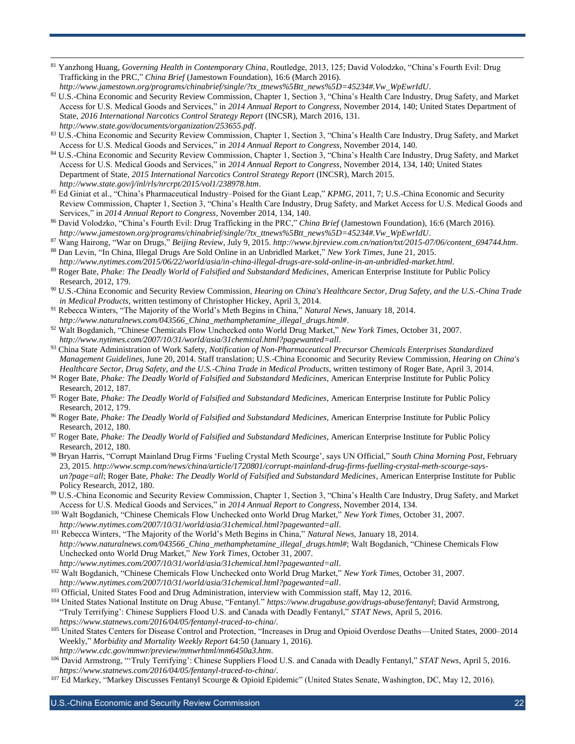<sup>81</sup> Yanzhong Huang, *Governing Health in Contemporary China*, Routledge, 2013, 125; David Volodzko, "China's Fourth Evil: Drug Trafficking in the PRC," *China Brief* (Jamestown Foundation), 16:6 (March 2016). *[http://www.jamestown.org/programs/chinabrief/single/?tx\\_ttnews%5Btt\\_news%5D=45234#.Vw\\_WpEwrIdU](http://www.jamestown.org/programs/chinabrief/single/?tx_ttnews%5Btt_news%5D=45234#.Vw_WpEwrIdU)*.

 $\overline{a}$ 

- 82 U.S.-China Economic and Security Review Commission, Chapter 1, Section 3, "China's Health Care Industry, Drug Safety, and Market Access for U.S. Medical Goods and Services," in *2014 Annual Report to Congress*, November 2014, 140; United States Department of State, *2016 International Narcotics Control Strategy Report* (INCSR), March 2016, 131. *<http://www.state.gov/documents/organization/253655.pdf>*.
- 83 U.S.-China Economic and Security Review Commission, Chapter 1, Section 3, "China's Health Care Industry, Drug Safety, and Market Access for U.S. Medical Goods and Services," in *2014 Annual Report to Congress*, November 2014, 140.
- 84 U.S.-China Economic and Security Review Commission, Chapter 1, Section 3, "China's Health Care Industry, Drug Safety, and Market Access for U.S. Medical Goods and Services," in *2014 Annual Report to Congress*, November 2014, 134, 140; United States Department of State, *2015 International Narcotics Control Strategy Report* (INCSR), March 2015. *<http://www.state.gov/j/inl/rls/nrcrpt/2015/vol1/238978.htm>*.
- <sup>85</sup> Ed Giniat et al., "China's Pharmaceutical Industry–Poised for the Giant Leap," *KPMG*, 2011, 7; U.S.-China Economic and Security Review Commission, Chapter 1, Section 3, "China's Health Care Industry, Drug Safety, and Market Access for U.S. Medical Goods and Services," in *2014 Annual Report to Congress*, November 2014, 134, 140.
- <sup>86</sup> David Volodzko, "China's Fourth Evil: Drug Trafficking in the PRC," *China Brief* (Jamestown Foundation), 16:6 (March 2016). *[http://www.jamestown.org/programs/chinabrief/single/?tx\\_ttnews%5Btt\\_news%5D=45234#.Vw\\_WpEwrIdU](http://www.jamestown.org/programs/chinabrief/single/?tx_ttnews%5Btt_news%5D=45234#.Vw_WpEwrIdU)*.
- <sup>87</sup> Wang Hairong, "War on Drugs," *Beijing Review*, July 9, 2015. *[http://www.bjreview.com.cn/nation/txt/2015-07/06/content\\_694744.htm](http://www.bjreview.com.cn/nation/txt/2015-07/06/content_694744.htm)*. <sup>88</sup> Dan Levin, "In China, Illegal Drugs Are Sold Online in an Unbridled Market," *New York Times*, June 21, 2015.

*<http://www.nytimes.com/2015/06/22/world/asia/in-china-illegal-drugs-are-sold-online-in-an-unbridled-market.html>*.

- <sup>89</sup> Roger Bate, *Phake: The Deadly World of Falsified and Substandard Medicines*, American Enterprise Institute for Public Policy Research, 2012, 179.
- <sup>90</sup> U.S.-China Economic and Security Review Commission, *Hearing on China's Healthcare Sector, Drug Safety, and the U.S.-China Trade in Medical Products*, written testimony of Christopher Hickey, April 3, 2014.
- <sup>91</sup> Rebecca Winters, "The Majority of the World's Meth Begins in China," *Natural News*, January 18, 2014. *[http://www.naturalnews.com/043566\\_China\\_methamphetamine\\_illegal\\_drugs.html#](http://www.naturalnews.com/043566_China_methamphetamine_illegal_drugs.html)*.
- <sup>92</sup> Walt Bogdanich, "Chinese Chemicals Flow Unchecked onto World Drug Market," *New York Times*, October 31, 2007. *<http://www.nytimes.com/2007/10/31/world/asia/31chemical.html?pagewanted=all>*.
- <sup>93</sup> China State Administration of Work Safety, *Notification of Non-Pharmaceutical Precursor Chemicals Enterprises Standardized Management Guidelines*, June 20, 2014. Staff translation; U.S.-China Economic and Security Review Commission, *Hearing on China's Healthcare Sector, Drug Safety, and the U.S.-China Trade in Medical Products*, written testimony of Roger Bate, April 3, 2014.
- <sup>94</sup> Roger Bate, *Phake: The Deadly World of Falsified and Substandard Medicines*, American Enterprise Institute for Public Policy Research, 2012, 187.
- <sup>95</sup> Roger Bate, *Phake: The Deadly World of Falsified and Substandard Medicines*, American Enterprise Institute for Public Policy Research, 2012, 179.
- <sup>96</sup> Roger Bate, *Phake: The Deadly World of Falsified and Substandard Medicines*, American Enterprise Institute for Public Policy Research, 2012, 180.
- <sup>97</sup> Roger Bate, *Phake: The Deadly World of Falsified and Substandard Medicines*, American Enterprise Institute for Public Policy Research, 2012, 180.
- <sup>98</sup> Bryan Harris, "Corrupt Mainland Drug Firms 'Fueling Crystal Meth Scourge', says UN Official," *South China Morning Post*, February 23, 2015. *[http://www.scmp.com/news/china/article/1720801/corrupt-mainland-drug-firms-fuelling-crystal-meth-scourge-says](http://www.scmp.com/news/china/article/1720801/corrupt-mainland-drug-firms-fuelling-crystal-meth-scourge-says-un?page=all)[un?page=all](http://www.scmp.com/news/china/article/1720801/corrupt-mainland-drug-firms-fuelling-crystal-meth-scourge-says-un?page=all)*; Roger Bate, *Phake: The Deadly World of Falsified and Substandard Medicines*, American Enterprise Institute for Public Policy Research, 2012, 180.
- 99 U.S.-China Economic and Security Review Commission, Chapter 1, Section 3, "China's Health Care Industry, Drug Safety, and Market Access for U.S. Medical Goods and Services," in *2014 Annual Report to Congress*, November 2014, 134.
- <sup>100</sup> Walt Bogdanich, "Chinese Chemicals Flow Unchecked onto World Drug Market," *New York Times*, October 31, 2007. *<http://www.nytimes.com/2007/10/31/world/asia/31chemical.html?pagewanted=all>*.
- <sup>101</sup> Rebecca Winters, "The Majority of the World's Meth Begins in China," *Natural News*, January 18, 2014. *[http://www.naturalnews.com/043566\\_China\\_methamphetamine\\_illegal\\_drugs.html#](http://www.naturalnews.com/043566_China_methamphetamine_illegal_drugs.html)*; Walt Bogdanich, "Chinese Chemicals Flow Unchecked onto World Drug Market," *New York Times*, October 31, 2007. *<http://www.nytimes.com/2007/10/31/world/asia/31chemical.html?pagewanted=all>*.
- <sup>102</sup> Walt Bogdanich, "Chinese Chemicals Flow Unchecked onto World Drug Market," *New York Times*, October 31, 2007. *<http://www.nytimes.com/2007/10/31/world/asia/31chemical.html?pagewanted=all>*.
- <sup>103</sup> Official, United States Food and Drug Administration, interview with Commission staff, May 12, 2016.
- <sup>104</sup> United States National Institute on Drug Abuse, "Fentanyl." *<https://www.drugabuse.gov/drugs-abuse/fentanyl>*; David Armstrong, "Truly Terrifying': Chinese Suppliers Flood U.S. and Canada with Deadly Fentanyl," *STAT News*, April 5, 2016. *<https://www.statnews.com/2016/04/05/fentanyl-traced-to-china/>*.
- <sup>105</sup> United States Centers for Disease Control and Protection, "Increases in Drug and Opioid Overdose Deaths—United States, 2000–2014 Weekly," *Morbidity and Mortality Weekly Report* 64:50 (January 1, 2016). *<http://www.cdc.gov/mmwr/preview/mmwrhtml/mm6450a3.htm>*.
- <sup>106</sup> David Armstrong, "'Truly Terrifying': Chinese Suppliers Flood U.S. and Canada with Deadly Fentanyl," *STAT News*, April 5, 2016. *<https://www.statnews.com/2016/04/05/fentanyl-traced-to-china/>*.
- <sup>107</sup> Ed Markey, "Markey Discusses Fentanyl Scourge & Opioid Epidemic" (United States Senate, Washington, DC, May 12, 2016).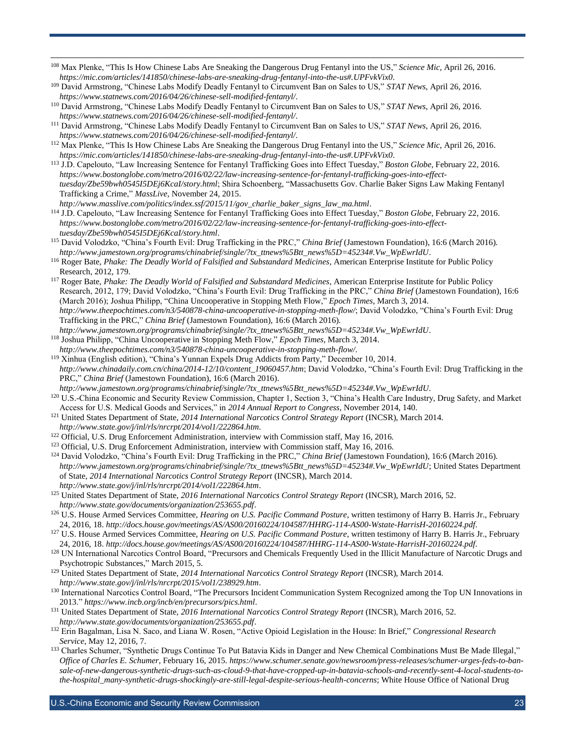- <sup>108</sup> Max Plenke, "This Is How Chinese Labs Are Sneaking the Dangerous Drug Fentanyl into the US," *Science Mic*, April 26, 2016. *<https://mic.com/articles/141850/chinese-labs-are-sneaking-drug-fentanyl-into-the-us#.UPFvkVix0>*.
- <sup>109</sup> David Armstrong, "Chinese Labs Modify Deadly Fentanyl to Circumvent Ban on Sales to US," *STAT News*, April 26, 2016. *<https://www.statnews.com/2016/04/26/chinese-sell-modified-fentanyl/>*.

- <sup>110</sup> David Armstrong, "Chinese Labs Modify Deadly Fentanyl to Circumvent Ban on Sales to US," *STAT News*, April 26, 2016. *<https://www.statnews.com/2016/04/26/chinese-sell-modified-fentanyl/>*.
- <sup>111</sup> David Armstrong, "Chinese Labs Modify Deadly Fentanyl to Circumvent Ban on Sales to US," *STAT News*, April 26, 2016. *<https://www.statnews.com/2016/04/26/chinese-sell-modified-fentanyl/>*.
- <sup>112</sup> Max Plenke, "This Is How Chinese Labs Are Sneaking the Dangerous Drug Fentanyl into the US," *Science Mic*, April 26, 2016. *<https://mic.com/articles/141850/chinese-labs-are-sneaking-drug-fentanyl-into-the-us#.UPFvkVix0>*.
- <sup>113</sup> J.D. Capelouto, "Law Increasing Sentence for Fentanyl Trafficking Goes into Effect Tuesday," *Boston Globe*, February 22, 2016. *[https://www.bostonglobe.com/metro/2016/02/22/law-increasing-sentence-for-fentanyl-trafficking-goes-into-effect](https://www.bostonglobe.com/metro/2016/02/22/law-increasing-sentence-for-fentanyl-trafficking-goes-into-effect-tuesday/Zbe59bwh0545I5DEj6KcaI/story.html)[tuesday/Zbe59bwh0545I5DEj6KcaI/story.html](https://www.bostonglobe.com/metro/2016/02/22/law-increasing-sentence-for-fentanyl-trafficking-goes-into-effect-tuesday/Zbe59bwh0545I5DEj6KcaI/story.html)*; Shira Schoenberg, "Massachusetts Gov. Charlie Baker Signs Law Making Fentanyl Trafficking a Crime," *MassLive*, November 24, 2015.
- *[http://www.masslive.com/politics/index.ssf/2015/11/gov\\_charlie\\_baker\\_signs\\_law\\_ma.html](http://www.masslive.com/politics/index.ssf/2015/11/gov_charlie_baker_signs_law_ma.html)*. <sup>114</sup> J.D. Capelouto, "Law Increasing Sentence for Fentanyl Trafficking Goes into Effect Tuesday," *Boston Globe*, February 22, 2016. *[https://www.bostonglobe.com/metro/2016/02/22/law-increasing-sentence-for-fentanyl-trafficking-goes-into-effect](https://www.bostonglobe.com/metro/2016/02/22/law-increasing-sentence-for-fentanyl-trafficking-goes-into-effect-tuesday/Zbe59bwh0545I5DEj6KcaI/story.html)[tuesday/Zbe59bwh0545I5DEj6KcaI/story.html](https://www.bostonglobe.com/metro/2016/02/22/law-increasing-sentence-for-fentanyl-trafficking-goes-into-effect-tuesday/Zbe59bwh0545I5DEj6KcaI/story.html)*.
- <sup>115</sup> David Volodzko, "China's Fourth Evil: Drug Trafficking in the PRC," *China Brief* (Jamestown Foundation), 16:6 (March 2016). *[http://www.jamestown.org/programs/chinabrief/single/?tx\\_ttnews%5Btt\\_news%5D=45234#.Vw\\_WpEwrIdU](http://www.jamestown.org/programs/chinabrief/single/?tx_ttnews%5Btt_news%5D=45234#.Vw_WpEwrIdU)*.
- <sup>116</sup> Roger Bate, *Phake: The Deadly World of Falsified and Substandard Medicines*, American Enterprise Institute for Public Policy Research, 2012, 179.
- <sup>117</sup> Roger Bate, *Phake: The Deadly World of Falsified and Substandard Medicines*, American Enterprise Institute for Public Policy Research, 2012, 179; David Volodzko, "China's Fourth Evil: Drug Trafficking in the PRC," *China Brief* (Jamestown Foundation), 16:6 (March 2016); Joshua Philipp, "China Uncooperative in Stopping Meth Flow," *Epoch Times*, March 3, 2014. *<http://www.theepochtimes.com/n3/540878-china-uncooperative-in-stopping-meth-flow/>*; David Volodzko, "China's Fourth Evil: Drug Trafficking in the PRC," *China Brief* (Jamestown Foundation), 16:6 (March 2016). *[http://www.jamestown.org/programs/chinabrief/single/?tx\\_ttnews%5Btt\\_news%5D=45234#.Vw\\_WpEwrIdU](http://www.jamestown.org/programs/chinabrief/single/?tx_ttnews%5Btt_news%5D=45234#.Vw_WpEwrIdU)*.
- <sup>118</sup> Joshua Philipp, "China Uncooperative in Stopping Meth Flow," *Epoch Times*, March 3, 2014. *<http://www.theepochtimes.com/n3/540878-china-uncooperative-in-stopping-meth-flow/>*.
- <sup>119</sup> Xinhua (English edition), "China's Yunnan Expels Drug Addicts from Party," December 10, 2014. *[http://www.chinadaily.com.cn/china/2014-12/10/content\\_19060457.htm](http://www.chinadaily.com.cn/china/2014-12/10/content_19060457.htm)*; David Volodzko, "China's Fourth Evil: Drug Trafficking in the PRC," *China Brief* (Jamestown Foundation), 16:6 (March 2016). *[http://www.jamestown.org/programs/chinabrief/single/?tx\\_ttnews%5Btt\\_news%5D=45234#.Vw\\_WpEwrIdU](http://www.jamestown.org/programs/chinabrief/single/?tx_ttnews%5Btt_news%5D=45234#.Vw_WpEwrIdU)*.
- <sup>120</sup> U.S.-China Economic and Security Review Commission, Chapter 1, Section 3, "China's Health Care Industry, Drug Safety, and Market Access for U.S. Medical Goods and Services," in *2014 Annual Report to Congress*, November 2014, 140.
- <sup>121</sup> United States Department of State, *2014 International Narcotics Control Strategy Report* (INCSR), March 2014. *<http://www.state.gov/j/inl/rls/nrcrpt/2014/vol1/222864.htm>*.
- <sup>122</sup> Official, U.S. Drug Enforcement Administration, interview with Commission staff, May 16, 2016.
- <sup>123</sup> Official, U.S. Drug Enforcement Administration, interview with Commission staff, May 16, 2016.
- <sup>124</sup> David Volodzko, "China's Fourth Evil: Drug Trafficking in the PRC," *China Brief* (Jamestown Foundation), 16:6 (March 2016). *[http://www.jamestown.org/programs/chinabrief/single/?tx\\_ttnews%5Btt\\_news%5D=45234#.Vw\\_WpEwrIdU](http://www.jamestown.org/programs/chinabrief/single/?tx_ttnews%5Btt_news%5D=45234#.Vw_WpEwrIdU)*; United States Department of State, *2014 International Narcotics Control Strategy Report* (INCSR), March 2014. *<http://www.state.gov/j/inl/rls/nrcrpt/2014/vol1/222864.htm>*.
- <sup>125</sup> United States Department of State, *2016 International Narcotics Control Strategy Report* (INCSR), March 2016, 52. *<http://www.state.gov/documents/organization/253655.pdf>*.
- <sup>126</sup> U.S. House Armed Services Committee, *Hearing on U.S. Pacific Command Posture*, written testimony of Harry B. Harris Jr., February 24, 2016, 18. *<http://docs.house.gov/meetings/AS/AS00/20160224/104587/HHRG-114-AS00-Wstate-HarrisH-20160224.pdf>*.
- <sup>127</sup> U.S. House Armed Services Committee, *Hearing on U.S. Pacific Command Posture*, written testimony of Harry B. Harris Jr., February 24, 2016, 18. *<http://docs.house.gov/meetings/AS/AS00/20160224/104587/HHRG-114-AS00-Wstate-HarrisH-20160224.pdf>*.
- <sup>128</sup> UN International Narcotics Control Board, "Precursors and Chemicals Frequently Used in the Illicit Manufacture of Narcotic Drugs and Psychotropic Substances," March 2015, 5.
- <sup>129</sup> United States Department of State, *2014 International Narcotics Control Strategy Report* (INCSR), March 2014. *<http://www.state.gov/j/inl/rls/nrcrpt/2015/vol1/238929.htm>*.
- <sup>130</sup> International Narcotics Control Board, "The Precursors Incident Communication System Recognized among the Top UN Innovations in 2013." *<https://www.incb.org/incb/en/precursors/pics.html>*.
- <sup>131</sup> United States Department of State, *2016 International Narcotics Control Strategy Report* (INCSR), March 2016, 52. *<http://www.state.gov/documents/organization/253655.pdf>*.
- <sup>132</sup> Erin Bagalman, Lisa N. Saco, and Liana W. Rosen, "Active Opioid Legislation in the House: In Brief," *Congressional Research Service*, May 12, 2016, 7.
- <sup>133</sup> Charles Schumer, "Synthetic Drugs Continue To Put Batavia Kids in Danger and New Chemical Combinations Must Be Made Illegal," *Office of Charles E. Schumer*, February 16, 2015. *[https://www.schumer.senate.gov/newsroom/press-releases/schumer-urges-feds-to-ban](https://www.schumer.senate.gov/newsroom/press-releases/schumer-urges-feds-to-ban-sale-of-new-dangerous-synthetic-drugs-such-as-cloud-9-that-have-cropped-up-in-batavia-schools-and-recently-sent-4-local-students-to-the-hospital_many-synthetic-drugs-shockingly-are-still-legal-despite-serious-health-concerns)[sale-of-new-dangerous-synthetic-drugs-such-as-cloud-9-that-have-cropped-up-in-batavia-schools-and-recently-sent-4-local-students-to](https://www.schumer.senate.gov/newsroom/press-releases/schumer-urges-feds-to-ban-sale-of-new-dangerous-synthetic-drugs-such-as-cloud-9-that-have-cropped-up-in-batavia-schools-and-recently-sent-4-local-students-to-the-hospital_many-synthetic-drugs-shockingly-are-still-legal-despite-serious-health-concerns)[the-hospital\\_many-synthetic-drugs-shockingly-are-still-legal-despite-serious-health-concerns](https://www.schumer.senate.gov/newsroom/press-releases/schumer-urges-feds-to-ban-sale-of-new-dangerous-synthetic-drugs-such-as-cloud-9-that-have-cropped-up-in-batavia-schools-and-recently-sent-4-local-students-to-the-hospital_many-synthetic-drugs-shockingly-are-still-legal-despite-serious-health-concerns)*; White House Office of National Drug